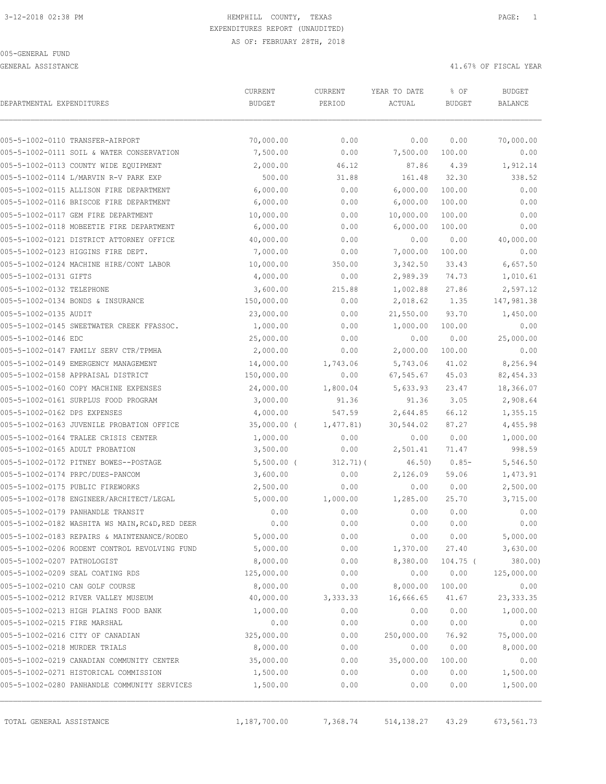GENERAL ASSISTANCE 41.67% OF FISCAL YEAR

| DEPARTMENTAL EXPENDITURES     |                                                 | CURRENT<br><b>BUDGET</b> | CURRENT<br>PERIOD | YEAR TO DATE<br>ACTUAL | % OF<br><b>BUDGET</b> | <b>BUDGET</b><br><b>BALANCE</b> |
|-------------------------------|-------------------------------------------------|--------------------------|-------------------|------------------------|-----------------------|---------------------------------|
|                               | 005-5-1002-0110 TRANSFER-AIRPORT                | 70,000.00                | 0.00              | 0.00                   | 0.00                  | 70,000.00                       |
|                               | 005-5-1002-0111 SOIL & WATER CONSERVATION       | 7,500.00                 | 0.00              | 7,500.00               | 100.00                | 0.00                            |
|                               | 005-5-1002-0113 COUNTY WIDE EQUIPMENT           | 2,000.00                 | 46.12             | 87.86                  | 4.39                  | 1,912.14                        |
|                               | 005-5-1002-0114 L/MARVIN R-V PARK EXP           | 500.00                   | 31.88             | 161.48                 | 32.30                 | 338.52                          |
|                               | 005-5-1002-0115 ALLISON FIRE DEPARTMENT         | 6,000.00                 | 0.00              | 6,000.00               | 100.00                | 0.00                            |
|                               | 005-5-1002-0116 BRISCOE FIRE DEPARTMENT         | 6,000.00                 | 0.00              | 6,000.00               | 100.00                | 0.00                            |
|                               | 005-5-1002-0117 GEM FIRE DEPARTMENT             | 10,000.00                | 0.00              | 10,000.00              | 100.00                | 0.00                            |
|                               | 005-5-1002-0118 MOBEETIE FIRE DEPARTMENT        | 6,000.00                 | 0.00              | 6,000.00               | 100.00                | 0.00                            |
|                               | 005-5-1002-0121 DISTRICT ATTORNEY OFFICE        | 40,000.00                | 0.00              | 0.00                   | 0.00                  | 40,000.00                       |
|                               | 005-5-1002-0123 HIGGINS FIRE DEPT.              | 7,000.00                 | 0.00              | 7,000.00               | 100.00                | 0.00                            |
|                               | 005-5-1002-0124 MACHINE HIRE/CONT LABOR         | 10,000.00                | 350.00            | 3,342.50               | 33.43                 | 6,657.50                        |
| 005-5-1002-0131 GIFTS         |                                                 | 4,000.00                 | 0.00              | 2,989.39               | 74.73                 | 1,010.61                        |
| 005-5-1002-0132 TELEPHONE     |                                                 | 3,600.00                 | 215.88            | 1,002.88               | 27.86                 | 2,597.12                        |
|                               | 005-5-1002-0134 BONDS & INSURANCE               | 150,000.00               | 0.00              | 2,018.62               | 1.35                  | 147,981.38                      |
| 005-5-1002-0135 AUDIT         |                                                 | 23,000.00                | 0.00              | 21,550.00              | 93.70                 | 1,450.00                        |
|                               | 005-5-1002-0145 SWEETWATER CREEK FFASSOC.       | 1,000.00                 | 0.00              | 1,000.00               | 100.00                | 0.00                            |
| 005-5-1002-0146 EDC           |                                                 | 25,000.00                | 0.00              | 0.00                   | 0.00                  | 25,000.00                       |
|                               | 005-5-1002-0147 FAMILY SERV CTR/TPMHA           | 2,000.00                 | 0.00              | 2,000.00               | 100.00                | 0.00                            |
|                               | 005-5-1002-0149 EMERGENCY MANAGEMENT            | 14,000.00                | 1,743.06          | 5,743.06               | 41.02                 | 8,256.94                        |
|                               | 005-5-1002-0158 APPRAISAL DISTRICT              | 150,000.00               | 0.00              | 67,545.67              | 45.03                 | 82, 454.33                      |
|                               | 005-5-1002-0160 COPY MACHINE EXPENSES           | 24,000.00                | 1,800.04          | 5,633.93               | 23.47                 | 18,366.07                       |
|                               | 005-5-1002-0161 SURPLUS FOOD PROGRAM            | 3,000.00                 | 91.36             | 91.36                  | 3.05                  | 2,908.64                        |
| 005-5-1002-0162 DPS EXPENSES  |                                                 | 4,000.00                 | 547.59            | 2,644.85               | 66.12                 | 1,355.15                        |
|                               | 005-5-1002-0163 JUVENILE PROBATION OFFICE       | 35,000.00 (              | 1,477.81)         | 30,544.02              | 87.27                 | 4,455.98                        |
|                               | 005-5-1002-0164 TRALEE CRISIS CENTER            | 1,000.00                 | 0.00              | 0.00                   | 0.00                  | 1,000.00                        |
|                               | 005-5-1002-0165 ADULT PROBATION                 | 3,500.00                 | 0.00              | 2,501.41               | 71.47                 | 998.59                          |
|                               | 005-5-1002-0172 PITNEY BOWES--POSTAGE           | $5,500.00$ (             | 312.71(           | 46.50)                 | $0.85-$               | 5,546.50                        |
|                               | 005-5-1002-0174 PRPC/DUES-PANCOM                | 3,600.00                 | 0.00              | 2,126.09               | 59.06                 | 1,473.91                        |
|                               | 005-5-1002-0175 PUBLIC FIREWORKS                | 2,500.00                 | 0.00              | 0.00                   | 0.00                  | 2,500.00                        |
|                               | 005-5-1002-0178 ENGINEER/ARCHITECT/LEGAL        | 5,000.00                 | 1,000.00          | 1,285.00               | 25.70                 | 3,715.00                        |
|                               | 005-5-1002-0179 PANHANDLE TRANSIT               | 0.00                     | 0.00              | 0.00                   | 0.00                  | 0.00                            |
|                               | 005-5-1002-0182 WASHITA WS MAIN, RC&D, RED DEER | 0.00                     | 0.00              | 0.00                   | 0.00                  | 0.00                            |
|                               | 005-5-1002-0183 REPAIRS & MAINTENANCE/RODEO     | 5,000.00                 | 0.00              | 0.00                   | 0.00                  | 5,000.00                        |
|                               | 005-5-1002-0206 RODENT CONTROL REVOLVING FUND   | 5,000.00                 | 0.00              | 1,370.00               | 27.40                 | 3,630.00                        |
| 005-5-1002-0207 PATHOLOGIST   |                                                 | 8,000.00                 | 0.00              | 8,380.00               | $104.75$ (            | 380.00)                         |
|                               | 005-5-1002-0209 SEAL COATING RDS                | 125,000.00               | 0.00              | 0.00                   | 0.00                  | 125,000.00                      |
|                               | 005-5-1002-0210 CAN GOLF COURSE                 | 8,000.00                 | 0.00              | 8,000.00               | 100.00                | 0.00                            |
|                               | 005-5-1002-0212 RIVER VALLEY MUSEUM             | 40,000.00                | 3,333.33          | 16,666.65              | 41.67                 | 23, 333.35                      |
|                               | 005-5-1002-0213 HIGH PLAINS FOOD BANK           | 1,000.00                 | 0.00              | 0.00                   | 0.00                  | 1,000.00                        |
| 005-5-1002-0215 FIRE MARSHAL  |                                                 | 0.00                     | 0.00              | 0.00                   | 0.00                  | 0.00                            |
|                               | 005-5-1002-0216 CITY OF CANADIAN                | 325,000.00               | 0.00              | 250,000.00             | 76.92                 | 75,000.00                       |
| 005-5-1002-0218 MURDER TRIALS |                                                 | 8,000.00                 | 0.00              | 0.00                   | 0.00                  | 8,000.00                        |
|                               | 005-5-1002-0219 CANADIAN COMMUNITY CENTER       | 35,000.00                | 0.00              | 35,000.00              | 100.00                | 0.00                            |
|                               | 005-5-1002-0271 HISTORICAL COMMISSION           | 1,500.00                 | 0.00              | 0.00                   | 0.00                  | 1,500.00                        |
|                               | 005-5-1002-0280 PANHANDLE COMMUNITY SERVICES    | 1,500.00                 | 0.00              | 0.00                   | 0.00                  | 1,500.00                        |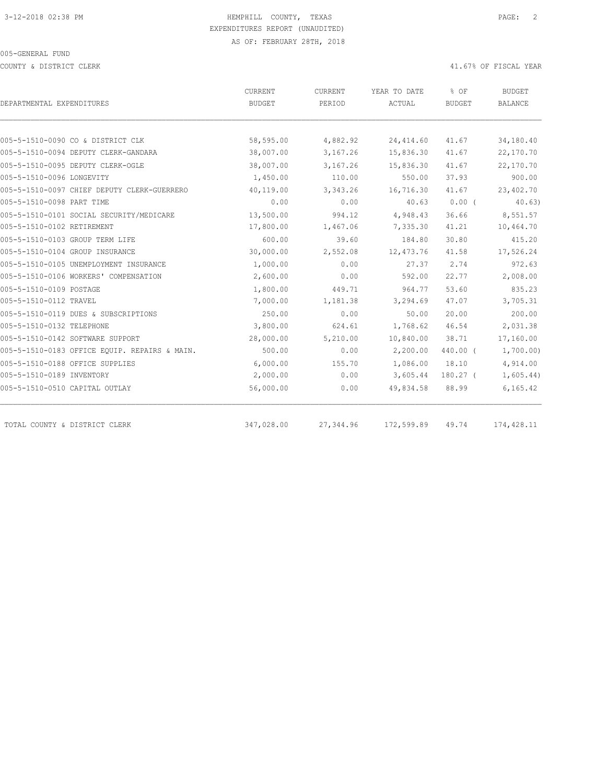COUNTY & DISTRICT CLERK 41.67% OF FISCAL YEAR

|                                               | <b>CURRENT</b> | CURRENT   | YEAR TO DATE | % OF          | <b>BUDGET</b>  |
|-----------------------------------------------|----------------|-----------|--------------|---------------|----------------|
| DEPARTMENTAL EXPENDITURES                     | <b>BUDGET</b>  | PERIOD    | ACTUAL       | <b>BUDGET</b> | <b>BALANCE</b> |
|                                               |                |           |              |               |                |
| 005-5-1510-0090 CO & DISTRICT CLK             | 58,595.00      | 4,882.92  | 24, 414.60   | 41.67         | 34,180.40      |
| 005-5-1510-0094 DEPUTY CLERK-GANDARA          | 38,007.00      | 3,167.26  | 15,836.30    | 41.67         | 22,170.70      |
| 005-5-1510-0095 DEPUTY CLERK-OGLE             | 38,007.00      | 3,167.26  | 15,836.30    | 41.67         | 22,170.70      |
| 005-5-1510-0096 LONGEVITY                     | 1,450.00       | 110.00    | 550.00       | 37.93         | 900.00         |
| 005-5-1510-0097 CHIEF DEPUTY CLERK-GUERRERO   | 40,119.00      | 3,343.26  | 16,716.30    | 41.67         | 23,402.70      |
| 005-5-1510-0098 PART TIME                     | 0.00           | 0.00      | 40.63        | $0.00$ (      | 40.63)         |
| 005-5-1510-0101 SOCIAL SECURITY/MEDICARE      | 13,500.00      | 994.12    | 4,948.43     | 36.66         | 8,551.57       |
| 005-5-1510-0102 RETIREMENT                    | 17,800.00      | 1,467.06  | 7,335.30     | 41.21         | 10,464.70      |
| 005-5-1510-0103 GROUP TERM LIFE               | 600.00         | 39.60     | 184.80       | 30.80         | 415.20         |
| 005-5-1510-0104 GROUP INSURANCE               | 30,000.00      | 2,552.08  | 12, 473.76   | 41.58         | 17,526.24      |
| 005-5-1510-0105 UNEMPLOYMENT INSURANCE        | 1,000.00       | 0.00      | 27.37        | 2.74          | 972.63         |
| 005-5-1510-0106 WORKERS' COMPENSATION         | 2,600.00       | 0.00      | 592.00       | 22.77         | 2,008.00       |
| 005-5-1510-0109 POSTAGE                       | 1,800.00       | 449.71    | 964.77       | 53.60         | 835.23         |
| 005-5-1510-0112 TRAVEL                        | 7,000.00       | 1,181.38  | 3,294.69     | 47.07         | 3,705.31       |
| 005-5-1510-0119 DUES & SUBSCRIPTIONS          | 250.00         | 0.00      | 50.00        | 20.00         | 200.00         |
| 005-5-1510-0132 TELEPHONE                     | 3,800.00       | 624.61    | 1,768.62     | 46.54         | 2,031.38       |
| 005-5-1510-0142 SOFTWARE SUPPORT              | 28,000.00      | 5,210.00  | 10,840.00    | 38.71         | 17,160.00      |
| 005-5-1510-0183 OFFICE EQUIP. REPAIRS & MAIN. | 500.00         | 0.00      | 2,200.00     | 440.00 (      | 1,700.00)      |
| 005-5-1510-0188 OFFICE SUPPLIES               | 6,000.00       | 155.70    | 1,086.00     | 18.10         | 4,914.00       |
| 005-5-1510-0189 INVENTORY                     | 2,000.00       | 0.00      | 3,605.44     | $180.27$ (    | 1,605.44)      |
| 005-5-1510-0510 CAPITAL OUTLAY                | 56,000.00      | 0.00      | 49,834.58    | 88.99         | 6, 165.42      |
|                                               |                |           |              |               |                |
| TOTAL COUNTY & DISTRICT CLERK                 | 347,028.00     | 27,344.96 | 172,599.89   | 49.74         | 174,428.11     |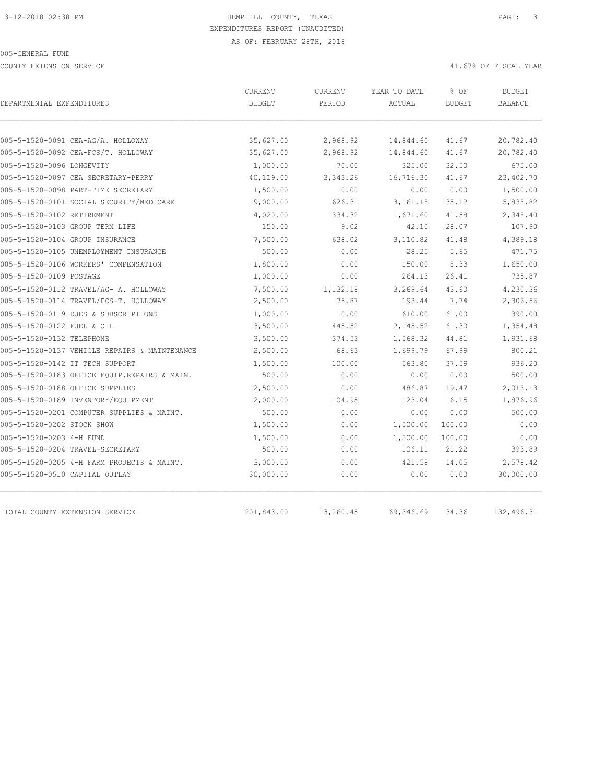COUNTY EXTENSION SERVICE 41.67% OF FISCAL YEAR

|                                               | CURRENT       | <b>CURRENT</b> | YEAR TO DATE | % OF          | <b>BUDGET</b>  |
|-----------------------------------------------|---------------|----------------|--------------|---------------|----------------|
| DEPARTMENTAL EXPENDITURES                     | <b>BUDGET</b> | PERIOD         | ACTUAL       | <b>BUDGET</b> | <b>BALANCE</b> |
|                                               |               |                |              |               |                |
| 005-5-1520-0091 CEA-AG/A. HOLLOWAY            | 35,627.00     | 2,968.92       | 14,844.60    | 41.67         | 20,782.40      |
| 005-5-1520-0092 CEA-FCS/T. HOLLOWAY           | 35,627.00     | 2,968.92       | 14,844.60    | 41.67         | 20,782.40      |
| 005-5-1520-0096 LONGEVITY                     | 1,000.00      | 70.00          | 325.00       | 32.50         | 675.00         |
| 005-5-1520-0097 CEA SECRETARY-PERRY           | 40,119.00     | 3,343.26       | 16,716.30    | 41.67         | 23,402.70      |
| 005-5-1520-0098 PART-TIME SECRETARY           | 1,500.00      | 0.00           | 0.00         | 0.00          | 1,500.00       |
| 005-5-1520-0101 SOCIAL SECURITY/MEDICARE      | 9,000.00      | 626.31         | 3, 161. 18   | 35.12         | 5,838.82       |
| 005-5-1520-0102 RETIREMENT                    | 4,020.00      | 334.32         | 1,671.60     | 41.58         | 2,348.40       |
| 005-5-1520-0103 GROUP TERM LIFE               | 150.00        | 9.02           | 42.10        | 28.07         | 107.90         |
| 005-5-1520-0104 GROUP INSURANCE               | 7,500.00      | 638.02         | 3,110.82     | 41.48         | 4,389.18       |
| 005-5-1520-0105 UNEMPLOYMENT INSURANCE        | 500.00        | 0.00           | 28.25        | 5.65          | 471.75         |
| 005-5-1520-0106 WORKERS' COMPENSATION         | 1,800.00      | 0.00           | 150.00       | 8.33          | 1,650.00       |
| 005-5-1520-0109 POSTAGE                       | 1,000.00      | 0.00           | 264.13       | 26.41         | 735.87         |
| 005-5-1520-0112 TRAVEL/AG- A. HOLLOWAY        | 7,500.00      | 1,132.18       | 3,269.64     | 43.60         | 4,230.36       |
| 005-5-1520-0114 TRAVEL/FCS-T. HOLLOWAY        | 2,500.00      | 75.87          | 193.44       | 7.74          | 2,306.56       |
| 005-5-1520-0119 DUES & SUBSCRIPTIONS          | 1,000.00      | 0.00           | 610.00       | 61.00         | 390.00         |
| 005-5-1520-0122 FUEL & OIL                    | 3,500.00      | 445.52         | 2,145.52     | 61.30         | 1,354.48       |
| 005-5-1520-0132 TELEPHONE                     | 3,500.00      | 374.53         | 1,568.32     | 44.81         | 1,931.68       |
| 005-5-1520-0137 VEHICLE REPAIRS & MAINTENANCE | 2,500.00      | 68.63          | 1,699.79     | 67.99         | 800.21         |
| 005-5-1520-0142 IT TECH SUPPORT               | 1,500.00      | 100.00         | 563.80       | 37.59         | 936.20         |
| 005-5-1520-0183 OFFICE EQUIP.REPAIRS & MAIN.  | 500.00        | 0.00           | 0.00         | 0.00          | 500.00         |
| 005-5-1520-0188 OFFICE SUPPLIES               | 2,500.00      | 0.00           | 486.87       | 19.47         | 2,013.13       |
| 005-5-1520-0189 INVENTORY/EQUIPMENT           | 2,000.00      | 104.95         | 123.04       | 6.15          | 1,876.96       |
| 005-5-1520-0201 COMPUTER SUPPLIES & MAINT.    | 500.00        | 0.00           | 0.00         | 0.00          | 500.00         |
| 005-5-1520-0202 STOCK SHOW                    | 1,500.00      | 0.00           | 1,500.00     | 100.00        | 0.00           |
| 005-5-1520-0203 4-H FUND                      | 1,500.00      | 0.00           | 1,500.00     | 100.00        | 0.00           |
| 005-5-1520-0204 TRAVEL-SECRETARY              | 500.00        | 0.00           | 106.11       | 21.22         | 393.89         |
| 005-5-1520-0205 4-H FARM PROJECTS & MAINT.    | 3,000.00      | 0.00           | 421.58       | 14.05         | 2,578.42       |
| 005-5-1520-0510 CAPITAL OUTLAY                | 30,000.00     | 0.00           | 0.00         | 0.00          | 30,000.00      |
|                                               |               |                |              |               |                |
| TOTAL COUNTY EXTENSION SERVICE                | 201,843.00    | 13,260.45      | 69,346.69    | 34.36         | 132,496.31     |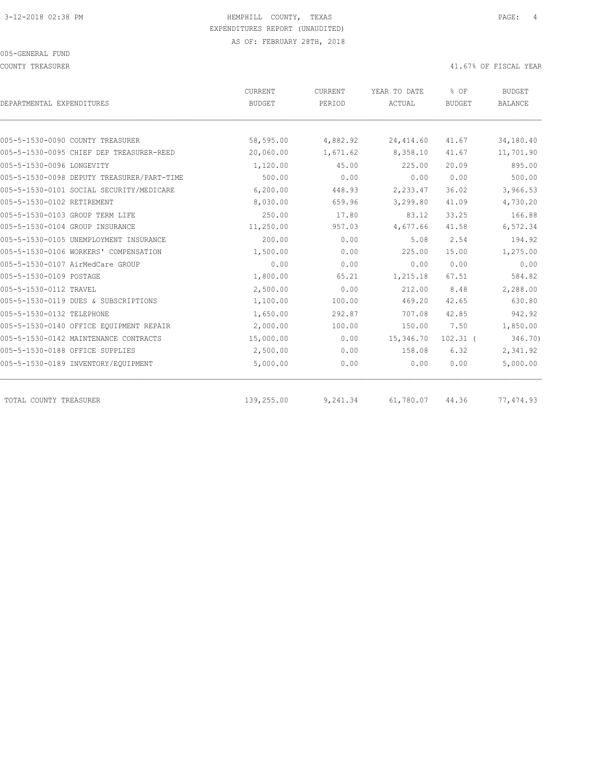COUNTY TREASURER **ALL ASSESSES ASSESSED A** 41.67% OF FISCAL YEAR

| DEPARTMENTAL EXPENDITURES                  | CURRENT<br><b>BUDGET</b> | CURRENT<br>PERIOD | YEAR TO DATE<br>ACTUAL | % OF<br><b>BUDGET</b> | <b>BUDGET</b><br><b>BALANCE</b> |
|--------------------------------------------|--------------------------|-------------------|------------------------|-----------------------|---------------------------------|
|                                            |                          |                   |                        |                       |                                 |
| 005-5-1530-0090 COUNTY TREASURER           | 58,595.00                | 4,882.92          | 24, 414.60             | 41.67                 | 34,180.40                       |
| 005-5-1530-0095 CHIEF DEP TREASURER-REED   | 20,060.00                | 1,671.62          | 8,358.10               | 41.67                 | 11,701.90                       |
| 005-5-1530-0096 LONGEVITY                  | 1,120.00                 | 45.00             | 225.00                 | 20.09                 | 895.00                          |
| 005-5-1530-0098 DEPUTY TREASURER/PART-TIME | 500.00                   | 0.00              | 0.00                   | 0.00                  | 500.00                          |
| 005-5-1530-0101 SOCIAL SECURITY/MEDICARE   | 6, 200.00                | 448.93            | 2,233.47               | 36.02                 | 3,966.53                        |
| 005-5-1530-0102 RETIREMENT                 | 8,030.00                 | 659.96            | 3,299.80               | 41.09                 | 4,730.20                        |
| 005-5-1530-0103 GROUP TERM LIFE            | 250.00                   | 17.80             | 83.12                  | 33.25                 | 166.88                          |
| 005-5-1530-0104 GROUP INSURANCE            | 11,250.00                | 957.03            | 4,677.66               | 41.58                 | 6,572.34                        |
| 005-5-1530-0105 UNEMPLOYMENT INSURANCE     | 200.00                   | 0.00              | 5.08                   | 2.54                  | 194.92                          |
| 005-5-1530-0106 WORKERS' COMPENSATION      | 1,500.00                 | 0.00              | 225.00                 | 15.00                 | 1,275.00                        |
| 005-5-1530-0107 AirMedCare GROUP           | 0.00                     | 0.00              | 0.00                   | 0.00                  | 0.00                            |
| 005-5-1530-0109 POSTAGE                    | 1,800.00                 | 65.21             | 1,215.18               | 67.51                 | 584.82                          |
| 005-5-1530-0112 TRAVEL                     | 2,500.00                 | 0.00              | 212.00                 | 8.48                  | 2,288.00                        |
| 005-5-1530-0119 DUES & SUBSCRIPTIONS       | 1,100.00                 | 100.00            | 469.20                 | 42.65                 | 630.80                          |
| 005-5-1530-0132 TELEPHONE                  | 1,650.00                 | 292.87            | 707.08                 | 42.85                 | 942.92                          |
| 005-5-1530-0140 OFFICE EQUIPMENT REPAIR    | 2,000.00                 | 100.00            | 150.00                 | 7.50                  | 1,850.00                        |
| 005-5-1530-0142 MAINTENANCE CONTRACTS      | 15,000.00                | 0.00              | 15,346.70              | $102.31$ (            | 346.70)                         |
| 005-5-1530-0188 OFFICE SUPPLIES            | 2,500.00                 | 0.00              | 158.08                 | 6.32                  | 2,341.92                        |
| 005-5-1530-0189 INVENTORY/EQUIPMENT        | 5,000.00                 | 0.00              | 0.00                   | 0.00                  | 5,000.00                        |
| TOTAL COUNTY TREASURER                     | 139,255.00               | 9,241.34          | 61,780.07              | 44.36                 | 77,474.93                       |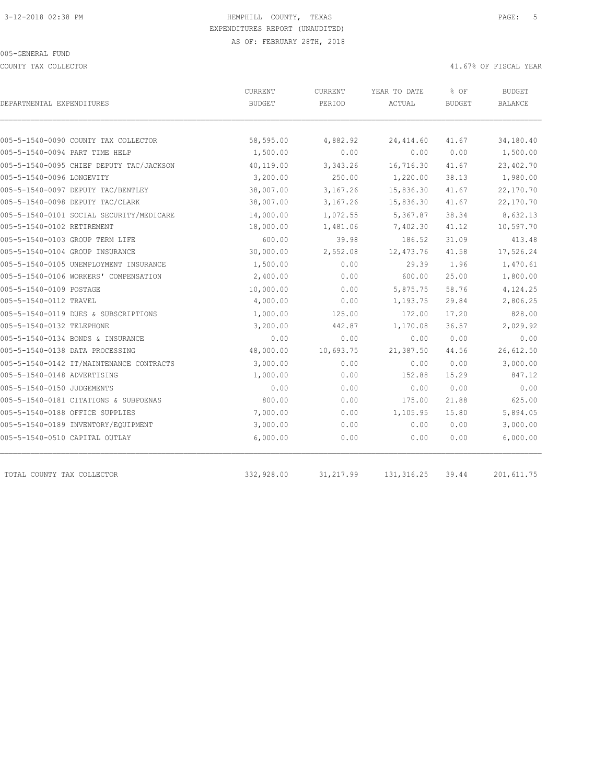COUNTY TAX COLLECTOR 41.67% OF FISCAL YEAR

| DEPARTMENTAL EXPENDITURES                | CURRENT<br><b>BUDGET</b> | CURRENT<br>PERIOD | YEAR TO DATE<br>ACTUAL | % OF<br><b>BUDGET</b> | <b>BUDGET</b><br><b>BALANCE</b> |
|------------------------------------------|--------------------------|-------------------|------------------------|-----------------------|---------------------------------|
|                                          |                          |                   |                        |                       |                                 |
| 005-5-1540-0090 COUNTY TAX COLLECTOR     | 58,595.00                | 4,882.92          | 24, 414.60             | 41.67                 | 34,180.40                       |
| 005-5-1540-0094 PART TIME HELP           | 1,500.00                 | 0.00              | 0.00                   | 0.00                  | 1,500.00                        |
| 005-5-1540-0095 CHIEF DEPUTY TAC/JACKSON | 40,119.00                | 3,343.26          | 16,716.30              | 41.67                 | 23,402.70                       |
| 005-5-1540-0096 LONGEVITY                | 3,200.00                 | 250.00            | 1,220.00               | 38.13                 | 1,980.00                        |
| 005-5-1540-0097 DEPUTY TAC/BENTLEY       | 38,007.00                | 3,167.26          | 15,836.30              | 41.67                 | 22,170.70                       |
| 005-5-1540-0098 DEPUTY TAC/CLARK         | 38,007.00                | 3,167.26          | 15,836.30              | 41.67                 | 22,170.70                       |
| 005-5-1540-0101 SOCIAL SECURITY/MEDICARE | 14,000.00                | 1,072.55          | 5,367.87               | 38.34                 | 8,632.13                        |
| 005-5-1540-0102 RETIREMENT               | 18,000.00                | 1,481.06          | 7,402.30               | 41.12                 | 10,597.70                       |
| 005-5-1540-0103 GROUP TERM LIFE          | 600.00                   | 39.98             | 186.52                 | 31.09                 | 413.48                          |
| 005-5-1540-0104 GROUP INSURANCE          | 30,000.00                | 2,552.08          | 12, 473.76             | 41.58                 | 17,526.24                       |
| 005-5-1540-0105 UNEMPLOYMENT INSURANCE   | 1,500.00                 | 0.00              | 29.39                  | 1.96                  | 1,470.61                        |
| 005-5-1540-0106 WORKERS' COMPENSATION    | 2,400.00                 | 0.00              | 600.00                 | 25.00                 | 1,800.00                        |
| 005-5-1540-0109 POSTAGE                  | 10,000.00                | 0.00              | 5,875.75               | 58.76                 | 4,124.25                        |
| 005-5-1540-0112 TRAVEL                   | 4,000.00                 | 0.00              | 1,193.75               | 29.84                 | 2,806.25                        |
| 005-5-1540-0119 DUES & SUBSCRIPTIONS     | 1,000.00                 | 125.00            | 172.00                 | 17.20                 | 828.00                          |
| 005-5-1540-0132 TELEPHONE                | 3,200.00                 | 442.87            | 1,170.08               | 36.57                 | 2,029.92                        |
| 005-5-1540-0134 BONDS & INSURANCE        | 0.00                     | 0.00              | 0.00                   | 0.00                  | 0.00                            |
| 005-5-1540-0138 DATA PROCESSING          | 48,000.00                | 10,693.75         | 21,387.50              | 44.56                 | 26,612.50                       |
| 005-5-1540-0142 IT/MAINTENANCE CONTRACTS | 3,000.00                 | 0.00              | 0.00                   | 0.00                  | 3,000.00                        |
| 005-5-1540-0148 ADVERTISING              | 1,000.00                 | 0.00              | 152.88                 | 15.29                 | 847.12                          |
| 005-5-1540-0150 JUDGEMENTS               | 0.00                     | 0.00              | 0.00                   | 0.00                  | 0.00                            |
| 005-5-1540-0181 CITATIONS & SUBPOENAS    | 800.00                   | 0.00              | 175.00                 | 21.88                 | 625.00                          |
| 005-5-1540-0188 OFFICE SUPPLIES          | 7,000.00                 | 0.00              | 1,105.95               | 15.80                 | 5,894.05                        |
| 005-5-1540-0189 INVENTORY/EQUIPMENT      | 3,000.00                 | 0.00              | 0.00                   | 0.00                  | 3,000.00                        |
| 005-5-1540-0510 CAPITAL OUTLAY           | 6,000.00                 | 0.00              | 0.00                   | 0.00                  | 6,000.00                        |
| TOTAL COUNTY TAX COLLECTOR               | 332,928.00               | 31, 217.99        | 131, 316.25            | 39.44                 | 201, 611.75                     |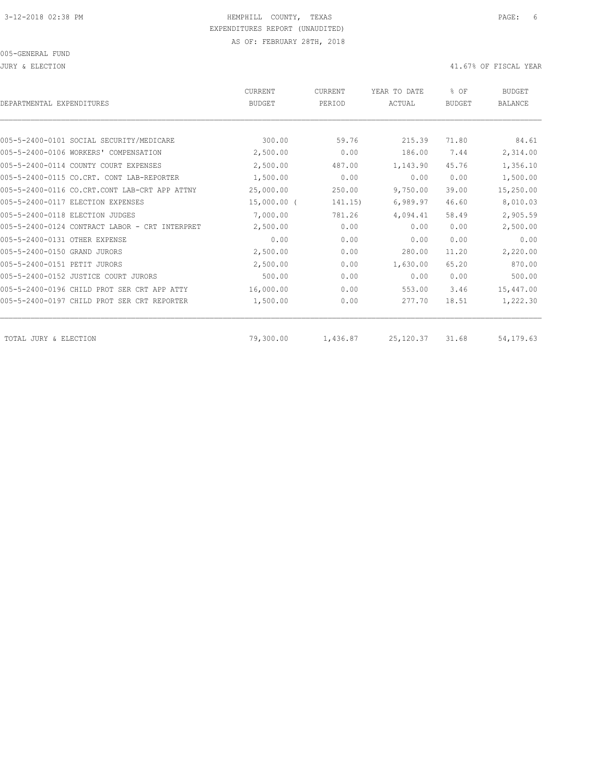JURY & ELECTION 41.67% OF FISCAL YEAR

| DEPARTMENTAL EXPENDITURES                      | <b>CURRENT</b><br><b>BUDGET</b> | CURRENT<br>PERIOD | YEAR TO DATE<br>ACTUAL | % OF<br><b>BUDGET</b> | <b>BUDGET</b><br><b>BALANCE</b> |
|------------------------------------------------|---------------------------------|-------------------|------------------------|-----------------------|---------------------------------|
|                                                |                                 |                   |                        |                       |                                 |
| 005-5-2400-0101 SOCIAL SECURITY/MEDICARE       | 300.00                          | 59.76             | 215.39                 | 71.80                 | 84.61                           |
| 005-5-2400-0106 WORKERS' COMPENSATION          | 2,500.00                        | 0.00              | 186.00                 | 7.44                  | 2,314.00                        |
| 005-5-2400-0114 COUNTY COURT EXPENSES          | 2,500.00                        | 487.00            | 1,143.90               | 45.76                 | 1,356.10                        |
| 005-5-2400-0115 CO.CRT. CONT LAB-REPORTER      | 1,500.00                        | 0.00              | 0.00                   | 0.00                  | 1,500.00                        |
| 005-5-2400-0116 CO.CRT.CONT LAB-CRT APP ATTNY  | 25,000.00                       | 250.00            | 9,750.00               | 39.00                 | 15,250.00                       |
| 005-5-2400-0117 ELECTION EXPENSES              | $15,000.00$ (                   | 141.15)           | 6,989.97               | 46.60                 | 8,010.03                        |
| 005-5-2400-0118 ELECTION JUDGES                | 7,000.00                        | 781.26            | 4,094.41               | 58.49                 | 2,905.59                        |
| 005-5-2400-0124 CONTRACT LABOR - CRT INTERPRET | 2,500.00                        | 0.00              | 0.00                   | 0.00                  | 2,500.00                        |
| 005-5-2400-0131 OTHER EXPENSE                  | 0.00                            | 0.00              | 0.00                   | 0.00                  | 0.00                            |
| 005-5-2400-0150 GRAND JURORS                   | 2,500.00                        | 0.00              | 280.00                 | 11.20                 | 2,220.00                        |
| 005-5-2400-0151 PETIT JURORS                   | 2,500.00                        | 0.00              | 1,630.00               | 65.20                 | 870.00                          |
| 005-5-2400-0152 JUSTICE COURT JURORS           | 500.00                          | 0.00              | 0.00                   | 0.00                  | 500.00                          |
| 005-5-2400-0196 CHILD PROT SER CRT APP ATTY    | 16,000.00                       | 0.00              | 553.00                 | 3.46                  | 15,447.00                       |
| 005-5-2400-0197 CHILD PROT SER CRT REPORTER    | 1,500.00                        | 0.00              | 277.70                 | 18.51                 | 1,222.30                        |
| TOTAL JURY & ELECTION                          | 79,300.00                       | 1,436.87          | 25, 120.37             | 31.68                 | 54, 179.63                      |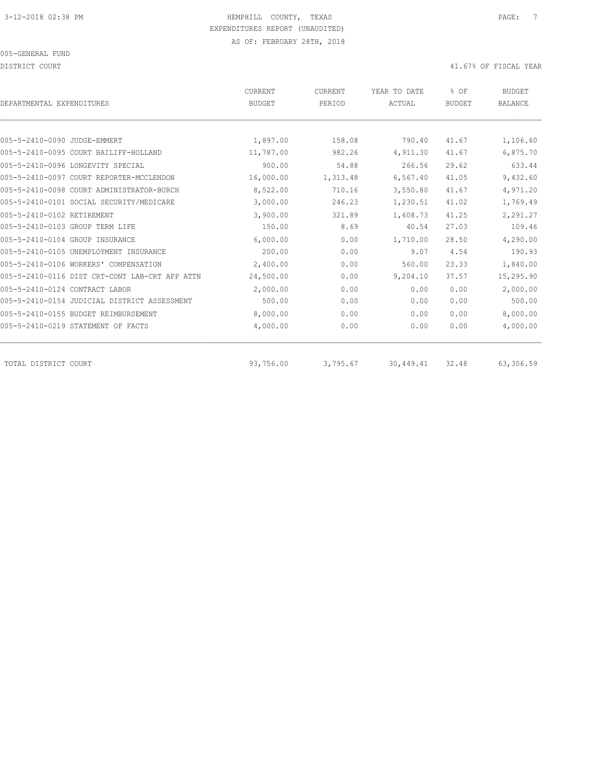DISTRICT COURT COURT COURT COURT COURT COURT COURT COURT COURT COURT COURT COURT COURT COURT COURT COURT COURT

| DEPARTMENTAL EXPENDITURES                      | <b>CURRENT</b><br><b>BUDGET</b> | CURRENT<br>PERIOD | YEAR TO DATE<br>ACTUAL | % OF<br><b>BUDGET</b> | <b>BUDGET</b><br><b>BALANCE</b> |
|------------------------------------------------|---------------------------------|-------------------|------------------------|-----------------------|---------------------------------|
|                                                |                                 |                   |                        |                       |                                 |
| 005-5-2410-0090 JUDGE-EMMERT                   | 1,897.00                        | 158.08            | 790.40                 | 41.67                 | 1,106.60                        |
| 005-5-2410-0095 COURT BAILIFF-HOLLAND          | 11,787.00                       | 982.26            | 4,911.30               | 41.67                 | 6,875.70                        |
| 005-5-2410-0096 LONGEVITY SPECIAL              | 900.00                          | 54.88             | 266.56                 | 29.62                 | 633.44                          |
| 005-5-2410-0097 COURT REPORTER-MCCLENDON       | 16,000.00                       | 1,313.48          | 6,567.40               | 41.05                 | 9,432.60                        |
| 005-5-2410-0098 COURT ADMINISTRATOR-BURCH      | 8,522.00                        | 710.16            | 3,550.80               | 41.67                 | 4,971.20                        |
| 005-5-2410-0101 SOCIAL SECURITY/MEDICARE       | 3,000.00                        | 246.23            | 1,230.51               | 41.02                 | 1,769.49                        |
| 005-5-2410-0102 RETIREMENT                     | 3,900.00                        | 321.89            | 1,608.73               | 41.25                 | 2,291.27                        |
| 005-5-2410-0103 GROUP TERM LIFE                | 150.00                          | 8.69              | 40.54                  | 27.03                 | 109.46                          |
| 005-5-2410-0104 GROUP INSURANCE                | 6,000.00                        | 0.00              | 1,710.00               | 28.50                 | 4,290.00                        |
| 005-5-2410-0105 UNEMPLOYMENT INSURANCE         | 200.00                          | 0.00              | 9.07                   | 4.54                  | 190.93                          |
| 005-5-2410-0106 WORKERS' COMPENSATION          | 2,400.00                        | 0.00              | 560.00                 | 23.33                 | 1,840.00                        |
| 005-5-2410-0116 DIST CRT-CONT LAB-CRT APP ATTN | 24,500.00                       | 0.00              | 9,204.10               | 37.57                 | 15,295.90                       |
| 005-5-2410-0124 CONTRACT LABOR                 | 2,000.00                        | 0.00              | 0.00                   | 0.00                  | 2,000.00                        |
| 005-5-2410-0154 JUDICIAL DISTRICT ASSESSMENT   | 500.00                          | 0.00              | 0.00                   | 0.00                  | 500.00                          |
| 005-5-2410-0155 BUDGET REIMBURSEMENT           | 8,000.00                        | 0.00              | 0.00                   | 0.00                  | 8,000.00                        |
| 005-5-2410-0219 STATEMENT OF FACTS             | 4,000.00                        | 0.00              | 0.00                   | 0.00                  | 4,000.00                        |
| TOTAL DISTRICT COURT                           | 93,756.00                       | 3,795.67          | 30,449.41              | 32.48                 | 63,306.59                       |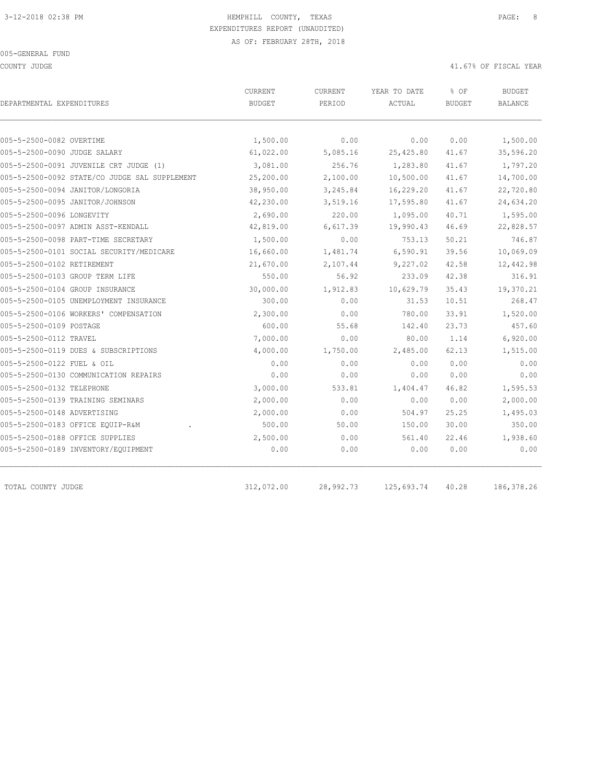COUNTY JUDGE 41.67% OF FISCAL YEAR

| 0.00<br>5,085.16<br>256.76<br>2,100.00<br>3,245.84<br>3,519.16<br>220.00<br>6,617.39 | 0.00<br>25,425.80<br>1,283.80<br>10,500.00<br>16,229.20<br>17,595.80 | 0.00<br>41.67<br>41.67<br>41.67<br>41.67 | 1,500.00<br>35,596.20<br>1,797.20<br>14,700.00 |
|--------------------------------------------------------------------------------------|----------------------------------------------------------------------|------------------------------------------|------------------------------------------------|
|                                                                                      |                                                                      |                                          |                                                |
|                                                                                      |                                                                      |                                          |                                                |
|                                                                                      |                                                                      |                                          |                                                |
|                                                                                      |                                                                      |                                          |                                                |
|                                                                                      |                                                                      |                                          |                                                |
|                                                                                      |                                                                      |                                          | 22,720.80                                      |
|                                                                                      |                                                                      | 41.67                                    | 24,634.20                                      |
|                                                                                      | 1,095.00                                                             | 40.71                                    | 1,595.00                                       |
|                                                                                      | 19,990.43                                                            | 46.69                                    | 22,828.57                                      |
| 0.00                                                                                 | 753.13                                                               | 50.21                                    | 746.87                                         |
| 1,481.74                                                                             | 6,590.91                                                             | 39.56                                    | 10,069.09                                      |
| 2,107.44                                                                             | 9,227.02                                                             | 42.58                                    | 12,442.98                                      |
| 56.92                                                                                | 233.09                                                               | 42.38                                    | 316.91                                         |
| 1,912.83                                                                             | 10,629.79                                                            | 35.43                                    | 19,370.21                                      |
| 0.00                                                                                 | 31.53                                                                | 10.51                                    | 268.47                                         |
| 0.00                                                                                 | 780.00                                                               | 33.91                                    | 1,520.00                                       |
| 55.68                                                                                | 142.40                                                               | 23.73                                    | 457.60                                         |
| 0.00                                                                                 | 80.00                                                                | 1.14                                     | 6,920.00                                       |
| 1,750.00                                                                             | 2,485.00                                                             | 62.13                                    | 1,515.00                                       |
| 0.00                                                                                 | 0.00                                                                 | 0.00                                     | 0.00                                           |
| 0.00                                                                                 | 0.00                                                                 | 0.00                                     | 0.00                                           |
| 533.81                                                                               | 1,404.47                                                             | 46.82                                    | 1,595.53                                       |
| 0.00                                                                                 | 0.00                                                                 | 0.00                                     | 2,000.00                                       |
| 0.00                                                                                 | 504.97                                                               | 25.25                                    | 1,495.03                                       |
| 50.00                                                                                | 150.00                                                               | 30.00                                    | 350.00                                         |
| 0.00                                                                                 | 561.40                                                               | 22.46                                    | 1,938.60                                       |
| 0.00                                                                                 | 0.00                                                                 | 0.00                                     | 0.00                                           |
|                                                                                      |                                                                      |                                          |                                                |

TOTAL COUNTY JUDGE 312,072.00 28,992.73 125,693.74 40.28 186,378.26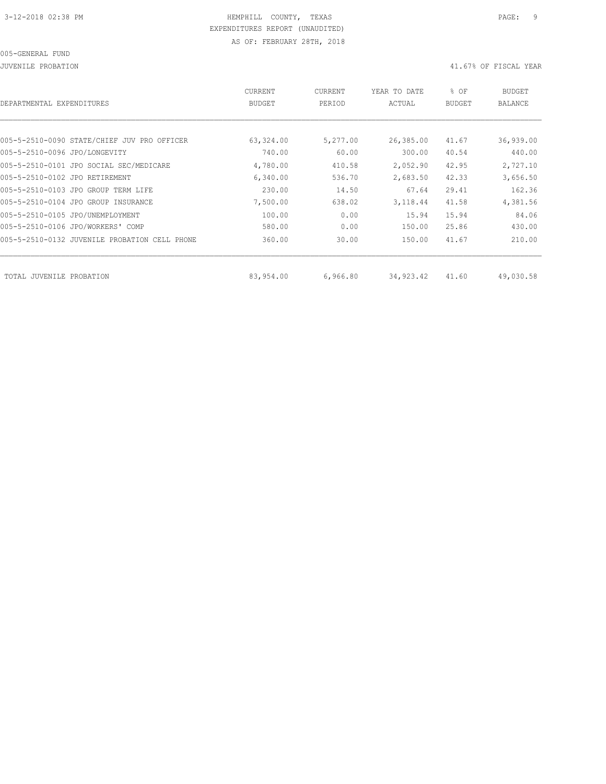JUVENILE PROBATION 41.67% OF FISCAL YEAR

| DEPARTMENTAL EXPENDITURES                     | <b>CURRENT</b><br><b>BUDGET</b> | CURRENT<br>PERIOD | YEAR TO DATE<br>ACTUAL | % OF<br><b>BUDGET</b> | <b>BUDGET</b><br><b>BALANCE</b> |
|-----------------------------------------------|---------------------------------|-------------------|------------------------|-----------------------|---------------------------------|
|                                               |                                 |                   |                        |                       |                                 |
| 005-5-2510-0090 STATE/CHIEF JUV PRO OFFICER   | 63,324.00                       | 5,277.00          | 26,385.00              | 41.67                 | 36,939.00                       |
| 005-5-2510-0096 JPO/LONGEVITY                 | 740.00                          | 60.00             | 300.00                 | 40.54                 | 440.00                          |
| 005-5-2510-0101 JPO SOCIAL SEC/MEDICARE       | 4,780.00                        | 410.58            | 2,052.90               | 42.95                 | 2,727.10                        |
| 005-5-2510-0102 JPO RETIREMENT                | 6,340.00                        | 536.70            | 2,683.50               | 42.33                 | 3,656.50                        |
| 005-5-2510-0103 JPO GROUP TERM LIFE           | 230.00                          | 14.50             | 67.64                  | 29.41                 | 162.36                          |
| 005-5-2510-0104 JPO GROUP INSURANCE           | 7,500.00                        | 638.02            | 3,118.44               | 41.58                 | 4,381.56                        |
| 005-5-2510-0105 JPO/UNEMPLOYMENT              | 100.00                          | 0.00              | 15.94                  | 15.94                 | 84.06                           |
| 005-5-2510-0106 JPO/WORKERS' COMP             | 580.00                          | 0.00              | 150.00                 | 25.86                 | 430.00                          |
| 005-5-2510-0132 JUVENILE PROBATION CELL PHONE | 360.00                          | 30.00             | 150.00                 | 41.67                 | 210.00                          |
|                                               |                                 |                   |                        |                       |                                 |
| TOTAL JUVENILE<br>PROBATION                   | 83,954.00                       | 6,966.80          | 34,923.42              | 41.60                 | 49,030.58                       |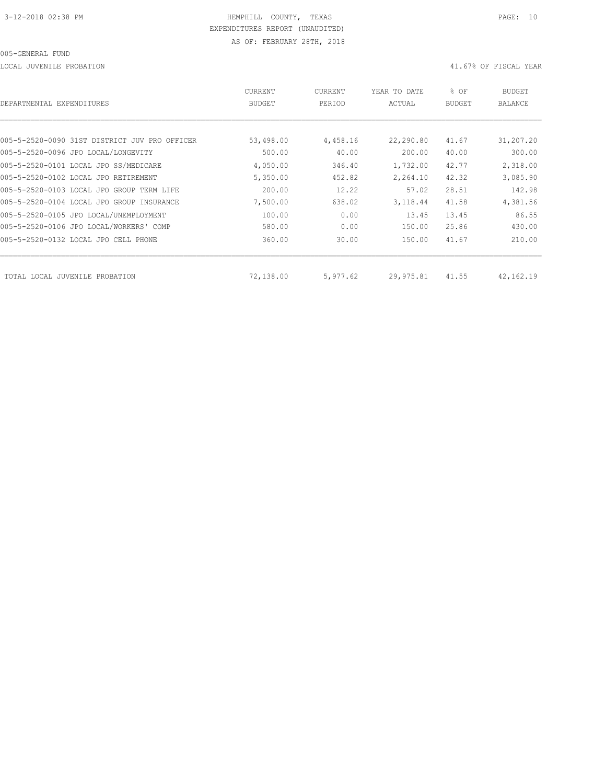LOCAL JUVENILE PROBATION 41.67% OF FISCAL YEAR

| DEPARTMENTAL EXPENDITURES                     | <b>CURRENT</b><br><b>BUDGET</b> | CURRENT<br>PERIOD | YEAR TO DATE<br>ACTUAL | % OF<br><b>BUDGET</b> | BUDGET<br><b>BALANCE</b> |
|-----------------------------------------------|---------------------------------|-------------------|------------------------|-----------------------|--------------------------|
|                                               |                                 |                   |                        |                       |                          |
| 005-5-2520-0090 31ST DISTRICT JUV PRO OFFICER | 53,498.00                       | 4,458.16          | 22,290.80              | 41.67                 | 31,207.20                |
| 005-5-2520-0096 JPO LOCAL/LONGEVITY           | 500.00                          | 40.00             | 200.00                 | 40.00                 | 300.00                   |
| 005-5-2520-0101 LOCAL JPO SS/MEDICARE         | 4,050.00                        | 346.40            | 1,732.00               | 42.77                 | 2,318.00                 |
| 005-5-2520-0102 LOCAL JPO RETIREMENT          | 5,350.00                        | 452.82            | 2,264.10               | 42.32                 | 3,085.90                 |
| 005-5-2520-0103 LOCAL JPO GROUP TERM LIFE     | 200.00                          | 12.22             | 57.02                  | 28.51                 | 142.98                   |
| 005-5-2520-0104 LOCAL JPO GROUP INSURANCE     | 7,500.00                        | 638.02            | 3,118.44               | 41.58                 | 4,381.56                 |
| 005-5-2520-0105 JPO LOCAL/UNEMPLOYMENT        | 100.00                          | 0.00              | 13.45                  | 13.45                 | 86.55                    |
| 005-5-2520-0106 JPO LOCAL/WORKERS' COMP       | 580.00                          | 0.00              | 150.00                 | 25.86                 | 430.00                   |
| 005-5-2520-0132 LOCAL JPO CELL PHONE          | 360.00                          | 30.00             | 150.00                 | 41.67                 | 210.00                   |
| TOTAL LOCAL JUVENILE PROBATION                | 72,138.00                       | 5,977.62          | 29,975.81              | 41.55                 | 42, 162. 19              |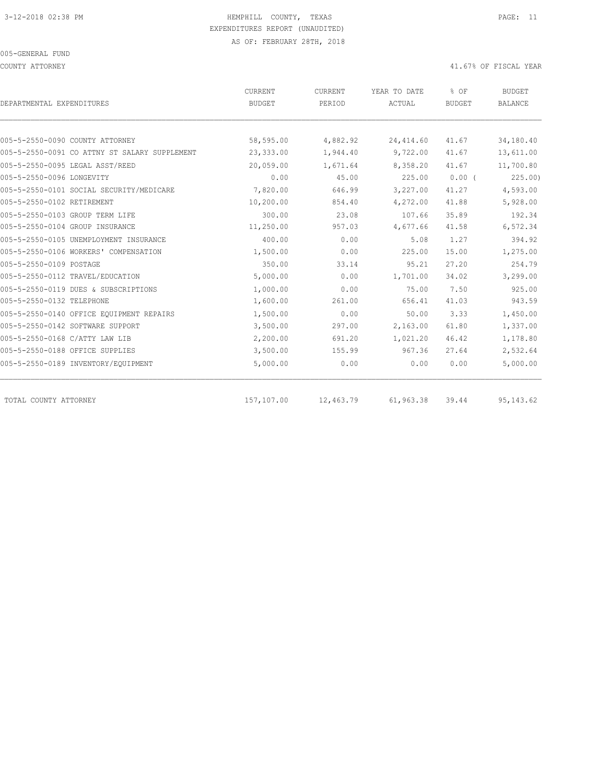COUNTY ATTORNEY 41.67% OF FISCAL YEAR

| DEPARTMENTAL EXPENDITURES                     | CURRENT<br><b>BUDGET</b> | CURRENT<br>PERIOD | YEAR TO DATE<br>ACTUAL | % OF<br><b>BUDGET</b> | <b>BUDGET</b><br><b>BALANCE</b> |
|-----------------------------------------------|--------------------------|-------------------|------------------------|-----------------------|---------------------------------|
|                                               |                          |                   |                        |                       |                                 |
| 005-5-2550-0090 COUNTY ATTORNEY               | 58,595.00                | 4,882.92          | 24, 414.60             | 41.67                 | 34,180.40                       |
| 005-5-2550-0091 CO ATTNY ST SALARY SUPPLEMENT | 23,333.00                | 1,944.40          | 9,722.00               | 41.67                 | 13,611.00                       |
| 005-5-2550-0095 LEGAL ASST/REED               | 20,059.00                | 1,671.64          | 8,358.20               | 41.67                 | 11,700.80                       |
| 005-5-2550-0096 LONGEVITY                     | 0.00                     | 45.00             | 225.00                 | $0.00$ (              | 225.00                          |
| 005-5-2550-0101 SOCIAL SECURITY/MEDICARE      | 7,820.00                 | 646.99            | 3,227.00               | 41.27                 | 4,593.00                        |
| 005-5-2550-0102 RETIREMENT                    | 10,200.00                | 854.40            | 4,272.00               | 41.88                 | 5,928.00                        |
| 005-5-2550-0103 GROUP TERM LIFE               | 300.00                   | 23.08             | 107.66                 | 35.89                 | 192.34                          |
| 005-5-2550-0104 GROUP INSURANCE               | 11,250.00                | 957.03            | 4,677.66               | 41.58                 | 6,572.34                        |
| 005-5-2550-0105 UNEMPLOYMENT INSURANCE        | 400.00                   | 0.00              | 5.08                   | 1.27                  | 394.92                          |
| 005-5-2550-0106 WORKERS' COMPENSATION         | 1,500.00                 | 0.00              | 225.00                 | 15.00                 | 1,275.00                        |
| 005-5-2550-0109 POSTAGE                       | 350.00                   | 33.14             | 95.21                  | 27.20                 | 254.79                          |
| 005-5-2550-0112 TRAVEL/EDUCATION              | 5,000.00                 | 0.00              | 1,701.00               | 34.02                 | 3,299.00                        |
| 005-5-2550-0119 DUES & SUBSCRIPTIONS          | 1,000.00                 | 0.00              | 75.00                  | 7.50                  | 925.00                          |
| 005-5-2550-0132 TELEPHONE                     | 1,600.00                 | 261.00            | 656.41                 | 41.03                 | 943.59                          |
| 005-5-2550-0140 OFFICE EQUIPMENT REPAIRS      | 1,500.00                 | 0.00              | 50.00                  | 3.33                  | 1,450.00                        |
| 005-5-2550-0142 SOFTWARE SUPPORT              | 3,500.00                 | 297.00            | 2,163.00               | 61.80                 | 1,337.00                        |
| 005-5-2550-0168 C/ATTY LAW LIB                | 2,200.00                 | 691.20            | 1,021.20               | 46.42                 | 1,178.80                        |
| 005-5-2550-0188 OFFICE SUPPLIES               | 3,500.00                 | 155.99            | 967.36                 | 27.64                 | 2,532.64                        |
| 005-5-2550-0189 INVENTORY/EQUIPMENT           | 5,000.00                 | 0.00              | 0.00                   | 0.00                  | 5,000.00                        |
| TOTAL COUNTY ATTORNEY                         | 157,107.00               | 12,463.79         | 61,963.38              | 39.44                 | 95, 143.62                      |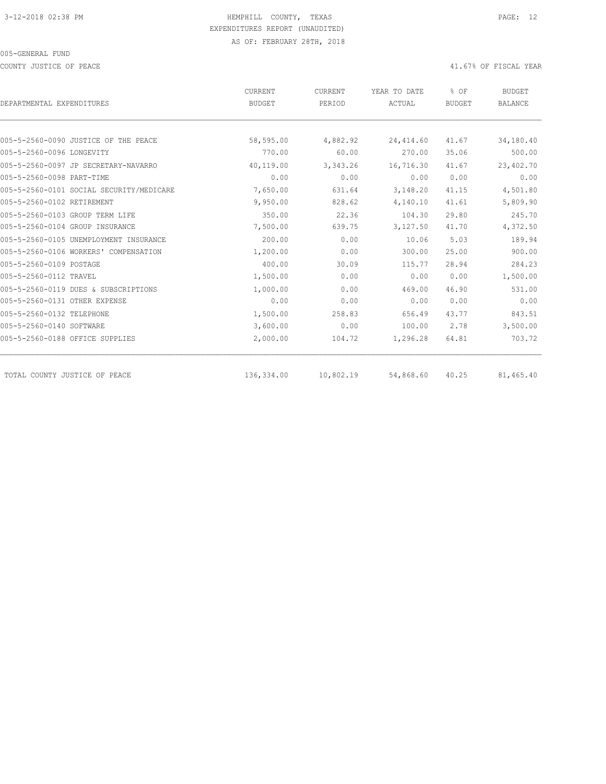COUNTY JUSTICE OF PEACE **Alternative COUNTY ACCOUNTY ACCOUNTY** JUSTICE OF FISCAL YEAR

|                                          | <b>CURRENT</b> | <b>CURRENT</b> | YEAR TO DATE | % OF          | <b>BUDGET</b>  |
|------------------------------------------|----------------|----------------|--------------|---------------|----------------|
| DEPARTMENTAL EXPENDITURES                | <b>BUDGET</b>  | PERIOD         | ACTUAL       | <b>BUDGET</b> | <b>BALANCE</b> |
|                                          |                |                |              |               |                |
| 005-5-2560-0090 JUSTICE OF THE PEACE     | 58,595.00      | 4,882.92       | 24, 414.60   | 41.67         | 34,180.40      |
| 005-5-2560-0096 LONGEVITY                | 770.00         | 60.00          | 270.00       | 35.06         | 500.00         |
| 005-5-2560-0097 JP SECRETARY-NAVARRO     | 40,119.00      | 3,343.26       | 16,716.30    | 41.67         | 23,402.70      |
| 005-5-2560-0098 PART-TIME                | 0.00           | 0.00           | 0.00         | 0.00          | 0.00           |
| 005-5-2560-0101 SOCIAL SECURITY/MEDICARE | 7,650.00       | 631.64         | 3,148.20     | 41.15         | 4,501.80       |
| 005-5-2560-0102 RETIREMENT               | 9,950.00       | 828.62         | 4,140.10     | 41.61         | 5,809.90       |
| 005-5-2560-0103 GROUP TERM LIFE          | 350.00         | 22.36          | 104.30       | 29.80         | 245.70         |
| 005-5-2560-0104 GROUP INSURANCE          | 7,500.00       | 639.75         | 3,127.50     | 41.70         | 4,372.50       |
| 005-5-2560-0105 UNEMPLOYMENT INSURANCE   | 200.00         | 0.00           | 10.06        | 5.03          | 189.94         |
| 005-5-2560-0106 WORKERS' COMPENSATION    | 1,200.00       | 0.00           | 300.00       | 25.00         | 900.00         |
| 005-5-2560-0109 POSTAGE                  | 400.00         | 30.09          | 115.77       | 28.94         | 284.23         |
| 005-5-2560-0112 TRAVEL                   | 1,500.00       | 0.00           | 0.00         | 0.00          | 1,500.00       |
| 005-5-2560-0119 DUES & SUBSCRIPTIONS     | 1,000.00       | 0.00           | 469.00       | 46.90         | 531.00         |
| 005-5-2560-0131 OTHER EXPENSE            | 0.00           | 0.00           | 0.00         | 0.00          | 0.00           |
| 005-5-2560-0132 TELEPHONE                | 1,500.00       | 258.83         | 656.49       | 43.77         | 843.51         |
| 005-5-2560-0140 SOFTWARE                 | 3,600.00       | 0.00           | 100.00       | 2.78          | 3,500.00       |
| 005-5-2560-0188 OFFICE SUPPLIES          | 2,000.00       | 104.72         | 1,296.28     | 64.81         | 703.72         |
| TOTAL COUNTY JUSTICE OF PEACE            | 136,334.00     | 10,802.19      | 54,868.60    | 40.25         | 81,465.40      |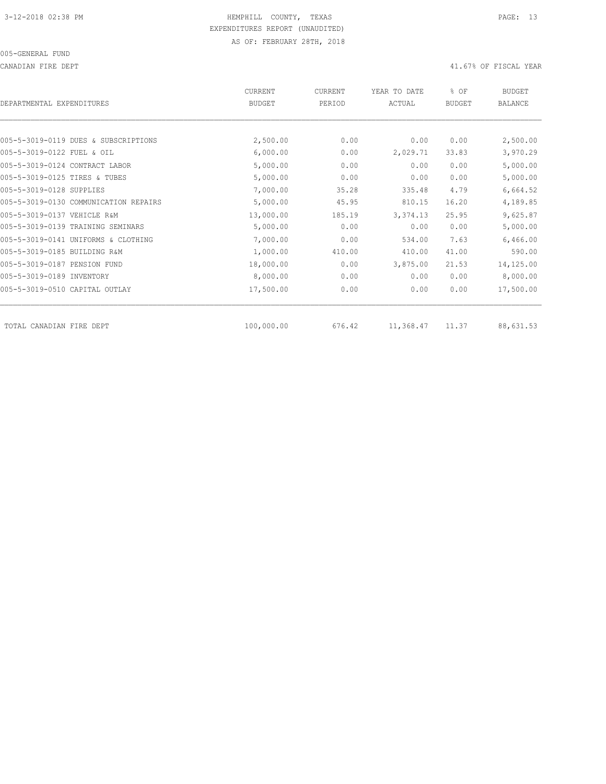CANADIAN FIRE DEPT 41.67% OF FISCAL YEAR

| DEPARTMENTAL EXPENDITURES      |                                       | <b>CURRENT</b><br><b>BUDGET</b> | <b>CURRENT</b><br>PERIOD | YEAR TO DATE<br>ACTUAL | % OF<br><b>BUDGET</b> | <b>BUDGET</b><br><b>BALANCE</b> |
|--------------------------------|---------------------------------------|---------------------------------|--------------------------|------------------------|-----------------------|---------------------------------|
|                                |                                       |                                 |                          |                        |                       |                                 |
|                                | 005-5-3019-0119 DUES & SUBSCRIPTIONS  | 2,500.00                        | 0.00                     | 0.00                   | 0.00                  | 2,500.00                        |
| 005-5-3019-0122 FUEL & OIL     |                                       | 6,000.00                        | 0.00                     | 2,029.71               | 33.83                 | 3,970.29                        |
| 005-5-3019-0124 CONTRACT LABOR |                                       | 5,000.00                        | 0.00                     | 0.00                   | 0.00                  | 5,000.00                        |
| 005-5-3019-0125 TIRES & TUBES  |                                       | 5,000.00                        | 0.00                     | 0.00                   | 0.00                  | 5,000.00                        |
| 005-5-3019-0128 SUPPLIES       |                                       | 7,000.00                        | 35.28                    | 335.48                 | 4.79                  | 6,664.52                        |
|                                | 005-5-3019-0130 COMMUNICATION REPAIRS | 5,000.00                        | 45.95                    | 810.15                 | 16.20                 | 4,189.85                        |
| 005-5-3019-0137 VEHICLE R&M    |                                       | 13,000.00                       | 185.19                   | 3,374.13               | 25.95                 | 9,625.87                        |
|                                | 005-5-3019-0139 TRAINING SEMINARS     | 5,000.00                        | 0.00                     | 0.00                   | 0.00                  | 5,000.00                        |
|                                | 005-5-3019-0141 UNIFORMS & CLOTHING   | 7,000.00                        | 0.00                     | 534.00                 | 7.63                  | 6,466.00                        |
| 005-5-3019-0185 BUILDING R&M   |                                       | 1,000.00                        | 410.00                   | 410.00                 | 41.00                 | 590.00                          |
| 005-5-3019-0187 PENSION FUND   |                                       | 18,000.00                       | 0.00                     | 3,875.00               | 21.53                 | 14,125.00                       |
| 005-5-3019-0189 INVENTORY      |                                       | 8,000.00                        | 0.00                     | 0.00                   | 0.00                  | 8,000.00                        |
| 005-5-3019-0510 CAPITAL OUTLAY |                                       | 17,500.00                       | 0.00                     | 0.00                   | 0.00                  | 17,500.00                       |
| TOTAL CANADIAN FIRE DEPT       |                                       | 100,000.00                      | 676.42                   | 11,368.47              | 11.37                 | 88,631.53                       |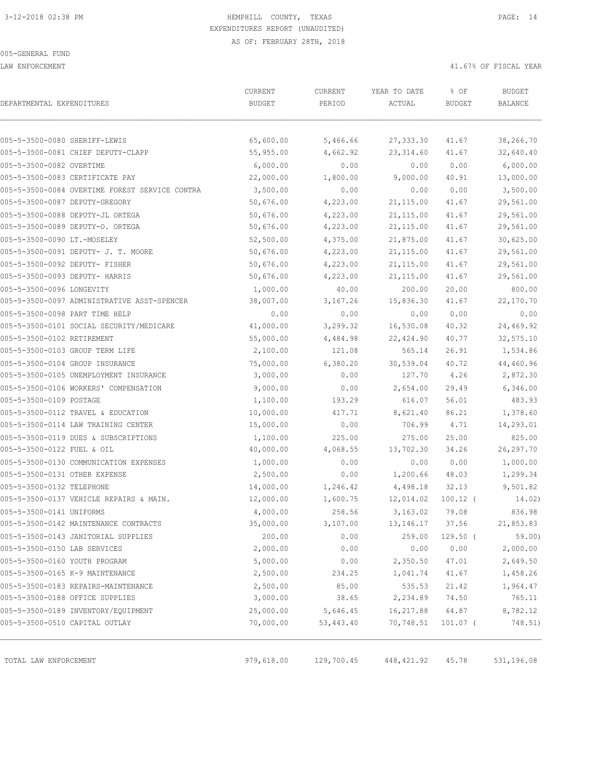LAW ENFORCEMENT 41.67% OF FISCAL YEAR

| DEPARTMENTAL EXPENDITURES                      | CURRENT<br><b>BUDGET</b> | CURRENT<br>PERIOD | YEAR TO DATE<br>ACTUAL | % OF<br><b>BUDGET</b> | <b>BUDGET</b><br><b>BALANCE</b> |
|------------------------------------------------|--------------------------|-------------------|------------------------|-----------------------|---------------------------------|
| 005-5-3500-0080 SHERIFF-LEWIS                  | 65,600.00                | 5,466.66          | 27, 333.30             | 41.67                 | 38,266.70                       |
| 005-5-3500-0081 CHIEF DEPUTY-CLAPP             | 55,955.00                | 4,662.92          | 23, 314.60             | 41.67                 | 32,640.40                       |
| 005-5-3500-0082 OVERTIME                       | 6,000.00                 | 0.00              | 0.00                   | 0.00                  | 6,000.00                        |
| 005-5-3500-0083 CERTIFICATE PAY                | 22,000.00                | 1,800.00          | 9,000.00               | 40.91                 | 13,000.00                       |
| 005-5-3500-0084 OVERTIME FOREST SERVICE CONTRA | 3,500.00                 | 0.00              | 0.00                   | 0.00                  | 3,500.00                        |
| 005-5-3500-0087 DEPUTY-GREGORY                 | 50,676.00                | 4,223.00          | 21,115.00              | 41.67                 | 29,561.00                       |
| 005-5-3500-0088 DEPUTY-JL ORTEGA               | 50,676.00                | 4,223.00          | 21, 115.00             | 41.67                 | 29,561.00                       |
| 005-5-3500-0089 DEPUTY-O. ORTEGA               | 50,676.00                | 4,223.00          | 21, 115.00             | 41.67                 | 29,561.00                       |
| 005-5-3500-0090 LT.-MOSELEY                    | 52,500.00                | 4,375.00          | 21,875.00              | 41.67                 | 30,625.00                       |
| 005-5-3500-0091 DEPUTY- J. T. MOORE            | 50,676.00                | 4,223.00          | 21,115.00              | 41.67                 | 29,561.00                       |
| 005-5-3500-0092 DEPUTY- FISHER                 | 50,676.00                | 4,223.00          | 21, 115.00             | 41.67                 | 29,561.00                       |
| 005-5-3500-0093 DEPUTY- HARRIS                 | 50,676.00                | 4,223.00          | 21,115.00              | 41.67                 | 29,561.00                       |
| 005-5-3500-0096 LONGEVITY                      | 1,000.00                 | 40.00             | 200.00                 | 20.00                 | 800.00                          |
| 005-5-3500-0097 ADMINISTRATIVE ASST-SPENCER    | 38,007.00                | 3,167.26          | 15,836.30              | 41.67                 | 22,170.70                       |
| 005-5-3500-0098 PART TIME HELP                 | 0.00                     | 0.00              | 0.00                   | 0.00                  | 0.00                            |
| 005-5-3500-0101 SOCIAL SECURITY/MEDICARE       | 41,000.00                | 3,299.32          | 16,530.08              | 40.32                 | 24,469.92                       |
| 005-5-3500-0102 RETIREMENT                     | 55,000.00                | 4,484.98          | 22,424.90              | 40.77                 | 32,575.10                       |
| 005-5-3500-0103 GROUP TERM LIFE                | 2,100.00                 | 121.08            | 565.14                 | 26.91                 | 1,534.86                        |
| 005-5-3500-0104 GROUP INSURANCE                | 75,000.00                | 6,380.20          | 30,539.04              | 40.72                 | 44,460.96                       |
| 005-5-3500-0105 UNEMPLOYMENT INSURANCE         | 3,000.00                 | 0.00              | 127.70                 | 4.26                  | 2,872.30                        |
| 005-5-3500-0106 WORKERS' COMPENSATION          | 9,000.00                 | 0.00              | 2,654.00               | 29.49                 | 6,346.00                        |
| 005-5-3500-0109 POSTAGE                        | 1,100.00                 | 193.29            | 616.07                 | 56.01                 | 483.93                          |
| 005-5-3500-0112 TRAVEL & EDUCATION             | 10,000.00                | 417.71            | 8,621.40               | 86.21                 | 1,378.60                        |
| 005-5-3500-0114 LAW TRAINING CENTER            | 15,000.00                | 0.00              | 706.99                 | 4.71                  | 14,293.01                       |
| 005-5-3500-0119 DUES & SUBSCRIPTIONS           | 1,100.00                 | 225.00            | 275.00                 | 25.00                 | 825.00                          |
| 005-5-3500-0122 FUEL & OIL                     | 40,000.00                | 4,068.55          | 13,702.30              | 34.26                 | 26,297.70                       |
| 005-5-3500-0130 COMMUNICATION EXPENSES         | 1,000.00                 | 0.00              | 0.00                   | 0.00                  | 1,000.00                        |
| 005-5-3500-0131 OTHER EXPENSE                  | 2,500.00                 | 0.00              | 1,200.66               | 48.03                 | 1,299.34                        |
| 005-5-3500-0132 TELEPHONE                      | 14,000.00                | 1,246.42          | 4,498.18               | 32.13                 | 9,501.82                        |
| 005-5-3500-0137 VEHICLE REPAIRS & MAIN.        | 12,000.00                | 1,600.75          | 12,014.02              | $100.12$ (            | 14.02)                          |
| 005-5-3500-0141 UNIFORMS                       | 4,000.00                 | 258.56            | 3,163.02               | 79.08                 | 836.98                          |
| 005-5-3500-0142 MAINTENANCE CONTRACTS          | 35,000.00                | 3,107.00          | 13, 146. 17            | 37.56                 | 21,853.83                       |
| 005-5-3500-0143 JANITORIAL SUPPLIES            | 200.00                   | 0.00              | 259.00                 | $129.50$ (            | 59.00                           |
| 005-5-3500-0150 LAB SERVICES                   | 2,000.00                 | 0.00              | 0.00                   | 0.00                  | 2,000.00                        |
| 005-5-3500-0160 YOUTH PROGRAM                  | 5,000.00                 | 0.00              | 2,350.50               | 47.01                 | 2,649.50                        |
| 005-5-3500-0165 K-9 MAINTENANCE                | 2,500.00                 | 234.25            | 1,041.74               | 41.67                 | 1,458.26                        |
| 005-5-3500-0183 REPAIRS-MAINTENANCE            | 2,500.00                 | 85.00             | 535.53                 | 21.42                 | 1,964.47                        |
| 005-5-3500-0188 OFFICE SUPPLIES                | 3,000.00                 | 38.65             | 2,234.89               | 74.50                 | 765.11                          |
| 005-5-3500-0189 INVENTORY/EQUIPMENT            | 25,000.00                | 5,646.45          | 16, 217.88             | 64.87                 | 8,782.12                        |
| 005-5-3500-0510 CAPITAL OUTLAY                 | 70,000.00                | 53,443.40         | 70,748.51              | $101.07$ (            | 748.51)                         |
| TOTAL LAW ENFORCEMENT                          | 979,618.00               | 129,700.45        | 448,421.92             | 45.78                 | 531,196.08                      |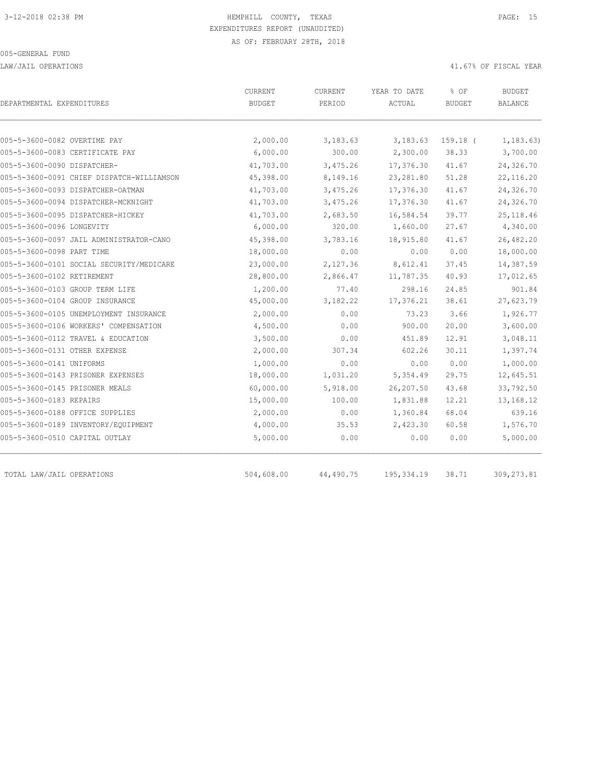LAW/JAIL OPERATIONS 41.67% OF FISCAL YEAR

| DEPARTMENTAL EXPENDITURES                 | CURRENT<br><b>BUDGET</b> | CURRENT<br>PERIOD | YEAR TO DATE<br>ACTUAL | % OF<br><b>BUDGET</b> | <b>BUDGET</b><br><b>BALANCE</b> |
|-------------------------------------------|--------------------------|-------------------|------------------------|-----------------------|---------------------------------|
|                                           |                          |                   |                        |                       |                                 |
| 005-5-3600-0082 OVERTIME PAY              | 2,000.00                 | 3,183.63          | 3,183.63               | $159.18$ (            | 1, 183.63)                      |
| 005-5-3600-0083 CERTIFICATE PAY           | 6,000.00                 | 300.00            | 2,300.00               | 38.33                 | 3,700.00                        |
| 005-5-3600-0090 DISPATCHER-               | 41,703.00                | 3,475.26          | 17,376.30              | 41.67                 | 24,326.70                       |
| 005-5-3600-0091 CHIEF DISPATCH-WILLIAMSON | 45,398.00                | 8,149.16          | 23, 281.80             | 51.28                 | 22, 116.20                      |
| 005-5-3600-0093 DISPATCHER-OATMAN         | 41,703.00                | 3,475.26          | 17,376.30              | 41.67                 | 24,326.70                       |
| 005-5-3600-0094 DISPATCHER-MCKNIGHT       | 41,703.00                | 3,475.26          | 17,376.30              | 41.67                 | 24,326.70                       |
| 005-5-3600-0095 DISPATCHER-HICKEY         | 41,703.00                | 2,683.50          | 16,584.54              | 39.77                 | 25, 118.46                      |
| 005-5-3600-0096 LONGEVITY                 | 6,000.00                 | 320.00            | 1,660.00               | 27.67                 | 4,340.00                        |
| 005-5-3600-0097 JAIL ADMINISTRATOR-CANO   | 45,398.00                | 3,783.16          | 18,915.80              | 41.67                 | 26,482.20                       |
| 005-5-3600-0098 PART TIME                 | 18,000.00                | 0.00              | 0.00                   | 0.00                  | 18,000.00                       |
| 005-5-3600-0101 SOCIAL SECURITY/MEDICARE  | 23,000.00                | 2,127.36          | 8,612.41               | 37.45                 | 14,387.59                       |
| 005-5-3600-0102 RETIREMENT                | 28,800.00                | 2,866.47          | 11,787.35              | 40.93                 | 17,012.65                       |
| 005-5-3600-0103 GROUP TERM LIFE           | 1,200.00                 | 77.40             | 298.16                 | 24.85                 | 901.84                          |
| 005-5-3600-0104 GROUP INSURANCE           | 45,000.00                | 3,182.22          | 17,376.21              | 38.61                 | 27,623.79                       |
| 005-5-3600-0105 UNEMPLOYMENT INSURANCE    | 2,000.00                 | 0.00              | 73.23                  | 3.66                  | 1,926.77                        |
| 005-5-3600-0106 WORKERS' COMPENSATION     | 4,500.00                 | 0.00              | 900.00                 | 20.00                 | 3,600.00                        |
| 005-5-3600-0112 TRAVEL & EDUCATION        | 3,500.00                 | 0.00              | 451.89                 | 12.91                 | 3,048.11                        |
| 005-5-3600-0131 OTHER EXPENSE             | 2,000.00                 | 307.34            | 602.26                 | 30.11                 | 1,397.74                        |
| 005-5-3600-0141 UNIFORMS                  | 1,000.00                 | 0.00              | 0.00                   | 0.00                  | 1,000.00                        |
| 005-5-3600-0143 PRISONER EXPENSES         | 18,000.00                | 1,031.20          | 5,354.49               | 29.75                 | 12,645.51                       |
| 005-5-3600-0145 PRISONER MEALS            | 60,000.00                | 5,918.00          | 26,207.50              | 43.68                 | 33,792.50                       |
| 005-5-3600-0183 REPAIRS                   | 15,000.00                | 100.00            | 1,831.88               | 12.21                 | 13,168.12                       |
| 005-5-3600-0188 OFFICE SUPPLIES           | 2,000.00                 | 0.00              | 1,360.84               | 68.04                 | 639.16                          |
| 005-5-3600-0189 INVENTORY/EQUIPMENT       | 4,000.00                 | 35.53             | 2,423.30               | 60.58                 | 1,576.70                        |
| 005-5-3600-0510 CAPITAL OUTLAY            | 5,000.00                 | 0.00              | 0.00                   | 0.00                  | 5,000.00                        |
| TOTAL LAW/JAIL OPERATIONS                 | 504,608.00               | 44,490.75         | 195, 334.19            | 38.71                 | 309, 273.81                     |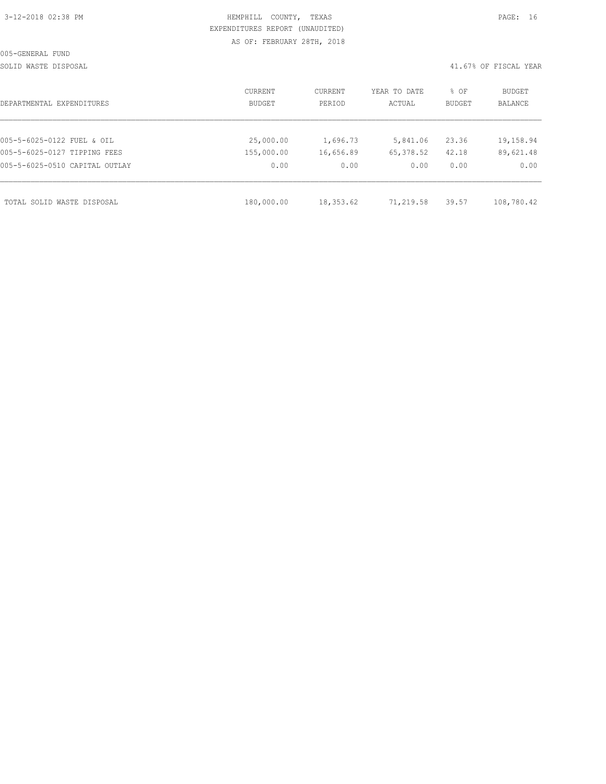| 3-12-2018 02:38 PM |  |
|--------------------|--|

# HEMPHILL COUNTY, TEXAS **PAGE:** 16 EXPENDITURES REPORT (UNAUDITED) AS OF: FEBRUARY 28TH, 2018

SOLID WASTE DISPOSAL 41.67% OF FISCAL YEAR

| DEPARTMENTAL EXPENDITURES      | CURRENT<br>BUDGET | CURRENT<br>PERIOD | YEAR TO DATE<br>ACTUAL | % OF<br>BUDGET | BUDGET<br><b>BALANCE</b> |
|--------------------------------|-------------------|-------------------|------------------------|----------------|--------------------------|
|                                |                   |                   |                        |                |                          |
| 005-5-6025-0122 FUEL & OIL     | 25,000.00         | 1,696.73          | 5,841.06               | 23.36          | 19,158.94                |
| 005-5-6025-0127 TIPPING FEES   | 155,000.00        | 16,656.89         | 65,378.52              | 42.18          | 89,621.48                |
| 005-5-6025-0510 CAPITAL OUTLAY | 0.00              | 0.00              | 0.00                   | 0.00           | 0.00                     |
|                                |                   |                   |                        |                |                          |
| TOTAL SOLID WASTE DISPOSAL     | 180,000.00        | 18,353.62         | 71,219.58              | 39.57          | 108,780.42               |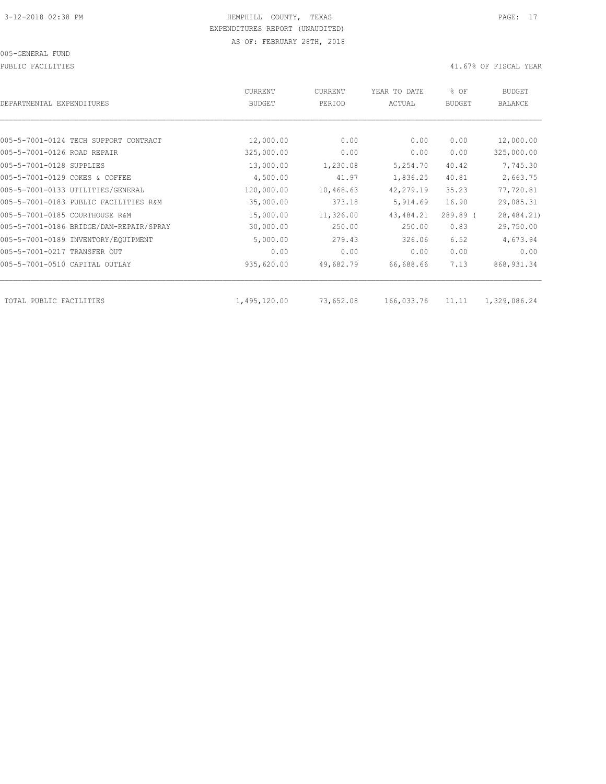PUBLIC FACILITIES 41.67% OF FISCAL YEAR

| DEPARTMENTAL EXPENDITURES               | <b>CURRENT</b><br><b>BUDGET</b> | CURRENT<br>PERIOD | YEAR TO DATE<br>ACTUAL | % OF<br><b>BUDGET</b> | <b>BUDGET</b><br><b>BALANCE</b> |
|-----------------------------------------|---------------------------------|-------------------|------------------------|-----------------------|---------------------------------|
|                                         |                                 |                   |                        |                       |                                 |
| 005-5-7001-0124 TECH SUPPORT CONTRACT   | 12,000.00                       | 0.00              | 0.00                   | 0.00                  | 12,000.00                       |
| 005-5-7001-0126 ROAD REPAIR             | 325,000.00                      | 0.00              | 0.00                   | 0.00                  | 325,000.00                      |
| 005-5-7001-0128 SUPPLIES                | 13,000.00                       | 1,230.08          | 5,254.70               | 40.42                 | 7,745.30                        |
| 005-5-7001-0129 COKES & COFFEE          | 4,500.00                        | 41.97             | 1,836.25               | 40.81                 | 2,663.75                        |
| 005-5-7001-0133 UTILITIES/GENERAL       | 120,000.00                      | 10,468.63         | 42,279.19              | 35.23                 | 77,720.81                       |
| 005-5-7001-0183 PUBLIC FACILITIES R&M   | 35,000.00                       | 373.18            | 5,914.69               | 16.90                 | 29,085.31                       |
| 005-5-7001-0185 COURTHOUSE R&M          | 15,000.00                       | 11,326.00         | 43, 484.21             | $289.89$ (            | 28, 484.21)                     |
| 005-5-7001-0186 BRIDGE/DAM-REPAIR/SPRAY | 30,000.00                       | 250.00            | 250.00                 | 0.83                  | 29,750.00                       |
| 005-5-7001-0189 INVENTORY/EQUIPMENT     | 5,000.00                        | 279.43            | 326.06                 | 6.52                  | 4,673.94                        |
| 005-5-7001-0217 TRANSFER OUT            | 0.00                            | 0.00              | 0.00                   | 0.00                  | 0.00                            |
| 005-5-7001-0510 CAPITAL OUTLAY          | 935,620.00                      | 49,682.79         | 66,688.66              | 7.13                  | 868, 931.34                     |
| TOTAL PUBLIC FACILITIES                 | 1,495,120.00                    | 73,652.08         | 166,033.76             | 11.11                 | 1,329,086.24                    |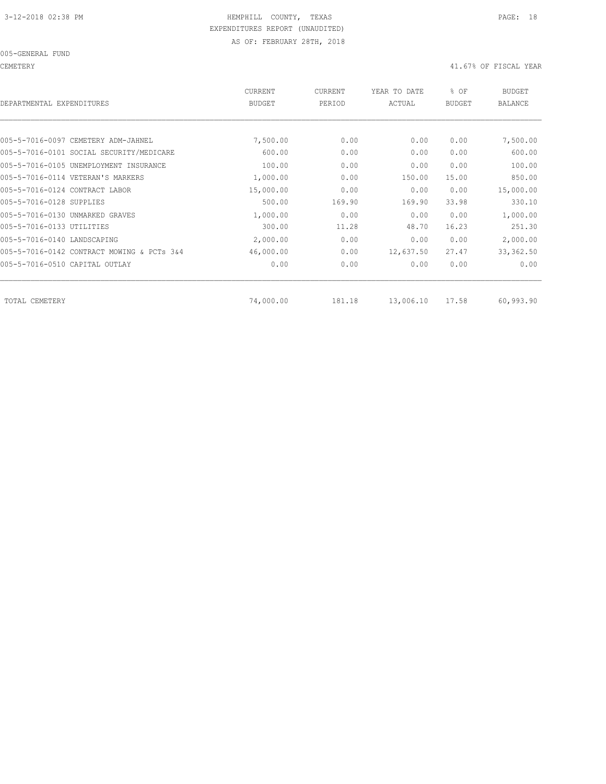CEMETERY 41.67% OF FISCAL YEAR

| DEPARTMENTAL EXPENDITURES                  | <b>CURRENT</b><br><b>BUDGET</b> | CURRENT<br>PERIOD | YEAR TO DATE<br>ACTUAL | % OF<br><b>BUDGET</b> | <b>BUDGET</b><br><b>BALANCE</b> |
|--------------------------------------------|---------------------------------|-------------------|------------------------|-----------------------|---------------------------------|
|                                            |                                 |                   |                        |                       |                                 |
| 005-5-7016-0097 CEMETERY ADM-JAHNEL        | 7,500.00                        | 0.00              | 0.00                   | 0.00                  | 7,500.00                        |
| 005-5-7016-0101 SOCIAL SECURITY/MEDICARE   | 600.00                          | 0.00              | 0.00                   | 0.00                  | 600.00                          |
| 005-5-7016-0105 UNEMPLOYMENT INSURANCE     | 100.00                          | 0.00              | 0.00                   | 0.00                  | 100.00                          |
| 005-5-7016-0114 VETERAN'S MARKERS          | 1,000.00                        | 0.00              | 150.00                 | 15.00                 | 850.00                          |
| 005-5-7016-0124 CONTRACT LABOR             | 15,000.00                       | 0.00              | 0.00                   | 0.00                  | 15,000.00                       |
| 005-5-7016-0128 SUPPLIES                   | 500.00                          | 169.90            | 169.90                 | 33.98                 | 330.10                          |
| 005-5-7016-0130 UNMARKED GRAVES            | 1,000.00                        | 0.00              | 0.00                   | 0.00                  | 1,000.00                        |
| 005-5-7016-0133 UTILITIES                  | 300.00                          | 11.28             | 48.70                  | 16.23                 | 251.30                          |
| 005-5-7016-0140 LANDSCAPING                | 2,000.00                        | 0.00              | 0.00                   | 0.00                  | 2,000.00                        |
| 005-5-7016-0142 CONTRACT MOWING & PCTs 3&4 | 46,000.00                       | 0.00              | 12,637.50              | 27.47                 | 33, 362.50                      |
| 005-5-7016-0510 CAPITAL OUTLAY             | 0.00                            | 0.00              | 0.00                   | 0.00                  | 0.00                            |
| TOTAL CEMETERY                             | 74,000.00                       | 181.18            | 13,006.10              | 17.58                 | 60,993.90                       |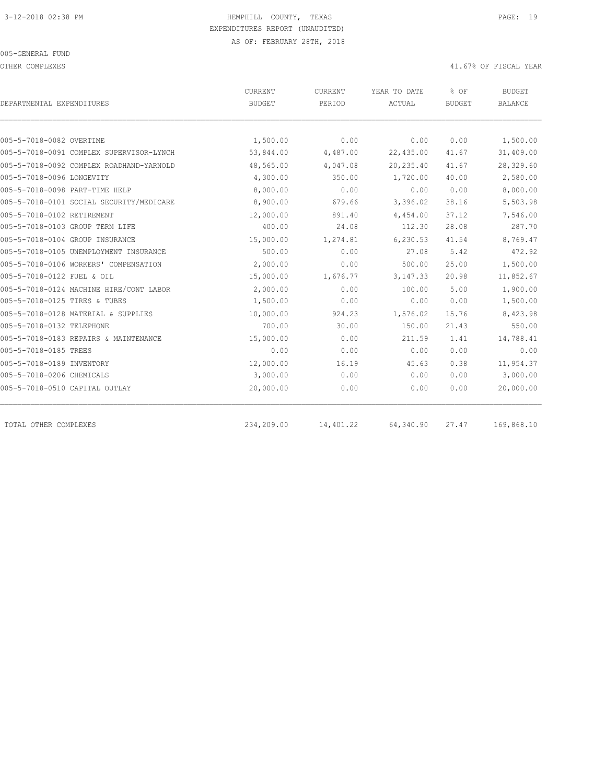OTHER COMPLEXES 41.67% OF FISCAL YEAR

|                                          | <b>CURRENT</b> | CURRENT   | YEAR TO DATE  | % OF          | <b>BUDGET</b>  |
|------------------------------------------|----------------|-----------|---------------|---------------|----------------|
| DEPARTMENTAL EXPENDITURES                | <b>BUDGET</b>  | PERIOD    | <b>ACTUAL</b> | <b>BUDGET</b> | <b>BALANCE</b> |
|                                          |                |           |               |               |                |
| 005-5-7018-0082 OVERTIME                 | 1,500.00       | 0.00      | 0.00          | 0.00          | 1,500.00       |
| 005-5-7018-0091 COMPLEX SUPERVISOR-LYNCH | 53,844.00      | 4,487.00  | 22,435.00     | 41.67         | 31,409.00      |
| 005-5-7018-0092 COMPLEX ROADHAND-YARNOLD | 48,565.00      | 4,047.08  | 20,235.40     | 41.67         | 28,329.60      |
| 005-5-7018-0096 LONGEVITY                | 4,300.00       | 350.00    | 1,720.00      | 40.00         | 2,580.00       |
| 005-5-7018-0098 PART-TIME HELP           | 8,000.00       | 0.00      | 0.00          | 0.00          | 8,000.00       |
| 005-5-7018-0101 SOCIAL SECURITY/MEDICARE | 8,900.00       | 679.66    | 3,396.02      | 38.16         | 5,503.98       |
| 005-5-7018-0102 RETIREMENT               | 12,000.00      | 891.40    | 4,454.00      | 37.12         | 7,546.00       |
| 005-5-7018-0103 GROUP TERM LIFE          | 400.00         | 24.08     | 112.30        | 28.08         | 287.70         |
| 005-5-7018-0104 GROUP INSURANCE          | 15,000.00      | 1,274.81  | 6,230.53      | 41.54         | 8,769.47       |
| 005-5-7018-0105 UNEMPLOYMENT INSURANCE   | 500.00         | 0.00      | 27.08         | 5.42          | 472.92         |
| 005-5-7018-0106 WORKERS' COMPENSATION    | 2,000.00       | 0.00      | 500.00        | 25.00         | 1,500.00       |
| 005-5-7018-0122 FUEL & OIL               | 15,000.00      | 1,676.77  | 3, 147.33     | 20.98         | 11,852.67      |
| 005-5-7018-0124 MACHINE HIRE/CONT LABOR  | 2,000.00       | 0.00      | 100.00        | 5.00          | 1,900.00       |
| 005-5-7018-0125 TIRES & TUBES            | 1,500.00       | 0.00      | 0.00          | 0.00          | 1,500.00       |
| 005-5-7018-0128 MATERIAL & SUPPLIES      | 10,000.00      | 924.23    | 1,576.02      | 15.76         | 8,423.98       |
| 005-5-7018-0132 TELEPHONE                | 700.00         | 30.00     | 150.00        | 21.43         | 550.00         |
| 005-5-7018-0183 REPAIRS & MAINTENANCE    | 15,000.00      | 0.00      | 211.59        | 1.41          | 14,788.41      |
| 005-5-7018-0185 TREES                    | 0.00           | 0.00      | 0.00          | 0.00          | 0.00           |
| 005-5-7018-0189 INVENTORY                | 12,000.00      | 16.19     | 45.63         | 0.38          | 11,954.37      |
| 005-5-7018-0206 CHEMICALS                | 3,000.00       | 0.00      | 0.00          | 0.00          | 3,000.00       |
| 005-5-7018-0510 CAPITAL OUTLAY           | 20,000.00      | 0.00      | 0.00          | 0.00          | 20,000.00      |
| TOTAL OTHER COMPLEXES                    | 234,209.00     | 14,401.22 | 64,340.90     | 27.47         | 169,868.10     |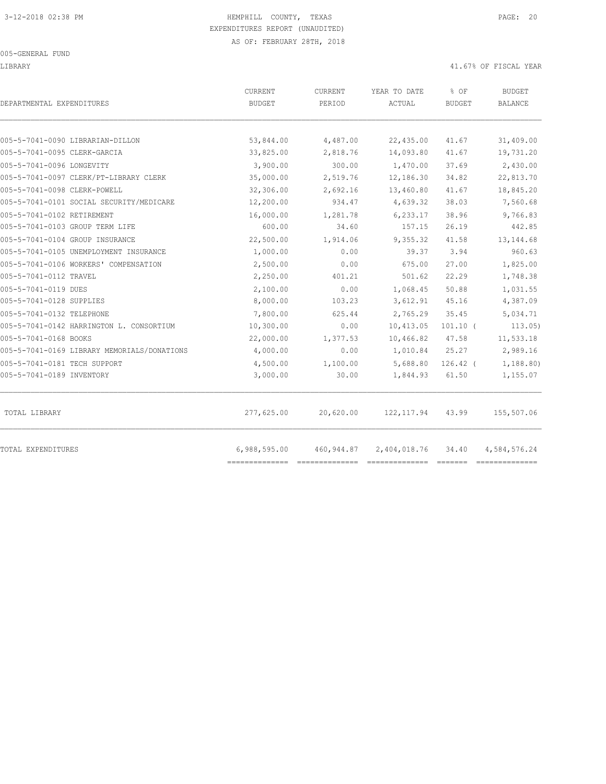LIBRARY 41.67% OF FISCAL YEAR

| DEPARTMENTAL EXPENDITURES                   | CURRENT<br><b>BUDGET</b> | CURRENT<br>PERIOD | YEAR TO DATE<br>ACTUAL | % OF<br><b>BUDGET</b> | <b>BUDGET</b><br><b>BALANCE</b> |
|---------------------------------------------|--------------------------|-------------------|------------------------|-----------------------|---------------------------------|
| 005-5-7041-0090 LIBRARIAN-DILLON            | 53,844.00                | 4,487.00          | 22,435.00              | 41.67                 | 31,409.00                       |
| 005-5-7041-0095 CLERK-GARCIA                | 33,825.00                | 2,818.76          | 14,093.80              | 41.67                 | 19,731.20                       |
| 005-5-7041-0096 LONGEVITY                   | 3,900.00                 | 300.00            | 1,470.00               | 37.69                 | 2,430.00                        |
| 005-5-7041-0097 CLERK/PT-LIBRARY CLERK      | 35,000.00                | 2,519.76          | 12,186.30              | 34.82                 | 22,813.70                       |
| 005-5-7041-0098 CLERK-POWELL                | 32,306.00                | 2,692.16          | 13,460.80              | 41.67                 | 18,845.20                       |
| 005-5-7041-0101 SOCIAL SECURITY/MEDICARE    | 12,200.00                | 934.47            | 4,639.32               | 38.03                 | 7,560.68                        |
| 005-5-7041-0102 RETIREMENT                  | 16,000.00                | 1,281.78          | 6,233.17               | 38.96                 | 9,766.83                        |
| 005-5-7041-0103 GROUP TERM LIFE             | 600.00                   | 34.60             | 157.15                 | 26.19                 | 442.85                          |
| 005-5-7041-0104 GROUP INSURANCE             | 22,500.00                | 1,914.06          | 9,355.32               | 41.58                 | 13, 144.68                      |
| 005-5-7041-0105 UNEMPLOYMENT INSURANCE      | 1,000.00                 | 0.00              | 39.37                  | 3.94                  | 960.63                          |
| 005-5-7041-0106 WORKERS' COMPENSATION       | 2,500.00                 | 0.00              | 675.00                 | 27.00                 | 1,825.00                        |
| 005-5-7041-0112 TRAVEL                      | 2,250.00                 | 401.21            | 501.62                 | 22.29                 | 1,748.38                        |
| 005-5-7041-0119 DUES                        | 2,100.00                 | 0.00              | 1,068.45               | 50.88                 | 1,031.55                        |
| 005-5-7041-0128 SUPPLIES                    | 8,000.00                 | 103.23            | 3,612.91               | 45.16                 | 4,387.09                        |
| 005-5-7041-0132 TELEPHONE                   | 7,800.00                 | 625.44            | 2,765.29               | 35.45                 | 5,034.71                        |
| 005-5-7041-0142 HARRINGTON L. CONSORTIUM    | 10,300.00                | 0.00              | 10,413.05              | $101.10$ (            | 113.05)                         |
| 005-5-7041-0168 BOOKS                       | 22,000.00                | 1,377.53          | 10,466.82              | 47.58                 | 11,533.18                       |
| 005-5-7041-0169 LIBRARY MEMORIALS/DONATIONS | 4,000.00                 | 0.00              | 1,010.84               | 25.27                 | 2,989.16                        |
| 005-5-7041-0181 TECH SUPPORT                | 4,500.00                 | 1,100.00          | 5,688.80               | $126.42$ (            | 1,188.80)                       |
| 005-5-7041-0189 INVENTORY                   | 3,000.00                 | 30.00             | 1,844.93               | 61.50                 | 1,155.07                        |
| TOTAL LIBRARY                               | 277,625.00               | 20,620.00         | 122, 117.94            | 43.99                 | 155,507.06                      |
| TOTAL EXPENDITURES                          | 6,988,595.00             | 460,944.87        | 2,404,018.76           | 34.40                 | 4,584,576.24                    |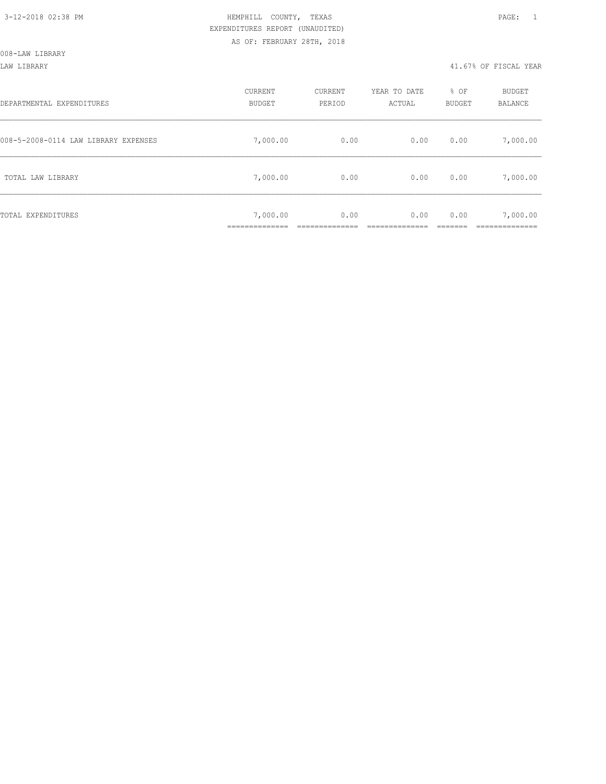#### LAW LIBRARY 41.67% OF FISCAL YEAR

| DEPARTMENTAL EXPENDITURES            | CURRENT<br><b>BUDGET</b> | CURRENT<br>PERIOD | YEAR TO DATE<br>ACTUAL | % OF<br>BUDGET | BUDGET<br>BALANCE      |
|--------------------------------------|--------------------------|-------------------|------------------------|----------------|------------------------|
| 008-5-2008-0114 LAW LIBRARY EXPENSES | 7,000.00                 | 0.00              | 0.00                   | 0.00           | 7,000.00               |
| TOTAL LAW LIBRARY                    | 7,000.00                 | 0.00              | 0.00                   | 0.00           | 7,000.00               |
| TOTAL EXPENDITURES                   | 7,000.00<br>___________  | 0.00              | 0.00                   | 0.00           | 7,000.00<br>__________ |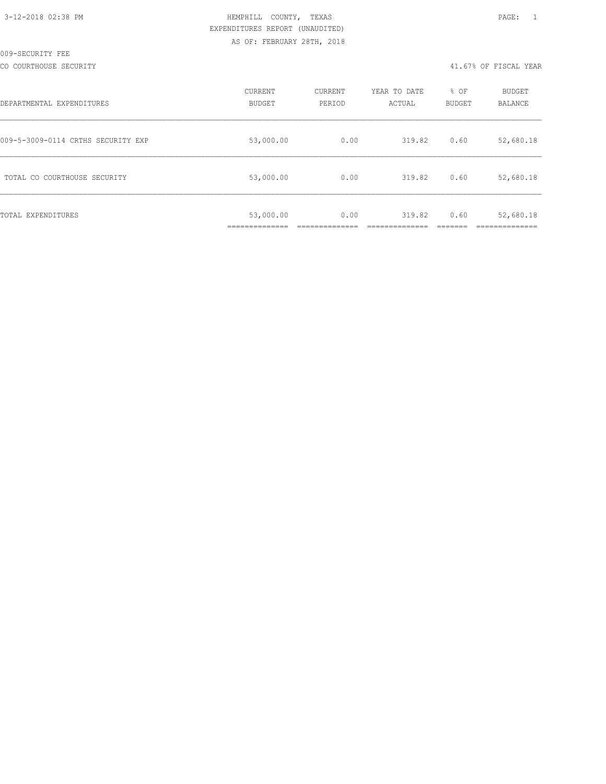#### CO COURTHOUSE SECURITY 41.67% OF FISCAL YEAR

| DEPARTMENTAL EXPENDITURES          | CURRENT<br><b>BUDGET</b>    | CURRENT<br>PERIOD | YEAR TO DATE<br>ACTUAL | % OF<br><b>BUDGET</b> | <b>BUDGET</b><br>BALANCE |
|------------------------------------|-----------------------------|-------------------|------------------------|-----------------------|--------------------------|
| 009-5-3009-0114 CRTHS SECURITY EXP | 53,000.00                   | 0.00              | 319.82                 | 0.60                  | 52,680.18                |
| TOTAL CO COURTHOUSE SECURITY       | 53,000.00                   | 0.00              | 319.82                 | 0.60                  | 52,680.18                |
| TOTAL EXPENDITURES                 | 53,000.00<br>______________ | 0.00              | 319.82                 | 0.60                  | 52,680.18                |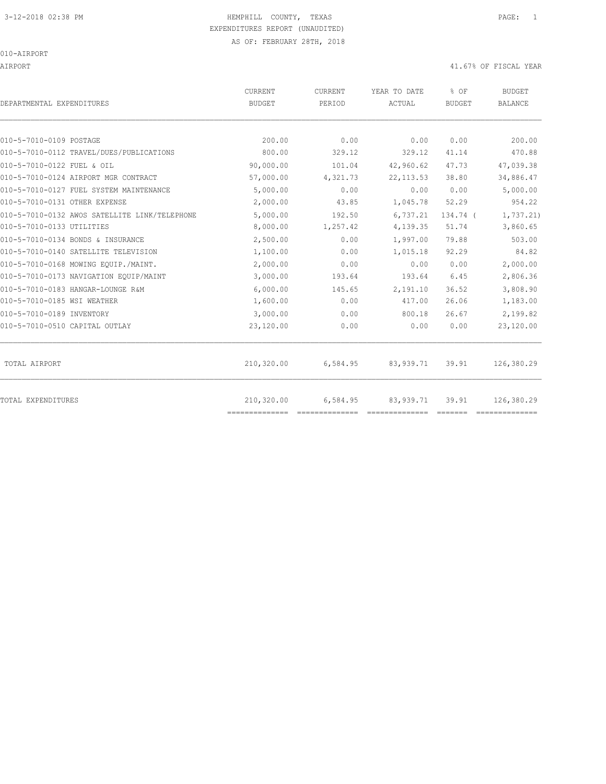AIRPORT 41.67% OF FISCAL YEAR

| DEPARTMENTAL EXPENDITURES                     | CURRENT<br><b>BUDGET</b>     | CURRENT<br>PERIOD | YEAR TO DATE<br>ACTUAL | % OF<br><b>BUDGET</b> | <b>BUDGET</b><br><b>BALANCE</b> |
|-----------------------------------------------|------------------------------|-------------------|------------------------|-----------------------|---------------------------------|
| 010-5-7010-0109 POSTAGE                       | 200.00                       | 0.00              | 0.00                   | 0.00                  | 200.00                          |
| 010-5-7010-0112 TRAVEL/DUES/PUBLICATIONS      | 800.00                       | 329.12            | 329.12                 | 41.14                 | 470.88                          |
| 010-5-7010-0122 FUEL & OIL                    | 90,000.00                    | 101.04            | 42,960.62              | 47.73                 | 47,039.38                       |
| 010-5-7010-0124 AIRPORT MGR CONTRACT          | 57,000.00                    | 4,321.73          | 22, 113.53             | 38.80                 | 34,886.47                       |
| 010-5-7010-0127 FUEL SYSTEM MAINTENANCE       | 5,000.00                     | 0.00              | 0.00                   | 0.00                  | 5,000.00                        |
| 010-5-7010-0131 OTHER EXPENSE                 | 2,000.00                     | 43.85             | 1,045.78               | 52.29                 | 954.22                          |
| 010-5-7010-0132 AWOS SATELLITE LINK/TELEPHONE | 5,000.00                     | 192.50            | 6,737.21               | 134.74 (              | 1,737.21)                       |
| 010-5-7010-0133 UTILITIES                     | 8,000.00                     | 1,257.42          | 4,139.35               | 51.74                 | 3,860.65                        |
| 010-5-7010-0134 BONDS & INSURANCE             | 2,500.00                     | 0.00              | 1,997.00               | 79.88                 | 503.00                          |
| 010-5-7010-0140 SATELLITE TELEVISION          | 1,100.00                     | 0.00              | 1,015.18               | 92.29                 | 84.82                           |
| 010-5-7010-0168 MOWING EOUIP./MAINT.          | 2,000.00                     | 0.00              | 0.00                   | 0.00                  | 2,000.00                        |
| 010-5-7010-0173 NAVIGATION EQUIP/MAINT        | 3,000.00                     | 193.64            | 193.64                 | 6.45                  | 2,806.36                        |
| 010-5-7010-0183 HANGAR-LOUNGE R&M             | 6,000.00                     | 145.65            | 2,191.10               | 36.52                 | 3,808.90                        |
| 010-5-7010-0185 WSI WEATHER                   | 1,600.00                     | 0.00              | 417.00                 | 26.06                 | 1,183.00                        |
| 010-5-7010-0189 INVENTORY                     | 3,000.00                     | 0.00              | 800.18                 | 26.67                 | 2,199.82                        |
| 010-5-7010-0510 CAPITAL OUTLAY                | 23,120.00                    | 0.00              | 0.00                   | 0.00                  | 23,120.00                       |
| TOTAL AIRPORT                                 | 210,320.00                   | 6,584.95          | 83,939.71              | 39.91                 | 126,380.29                      |
| TOTAL EXPENDITURES                            | 210,320.00<br>============== | 6,584.95          | 83, 939.71             | 39.91                 | 126,380.29                      |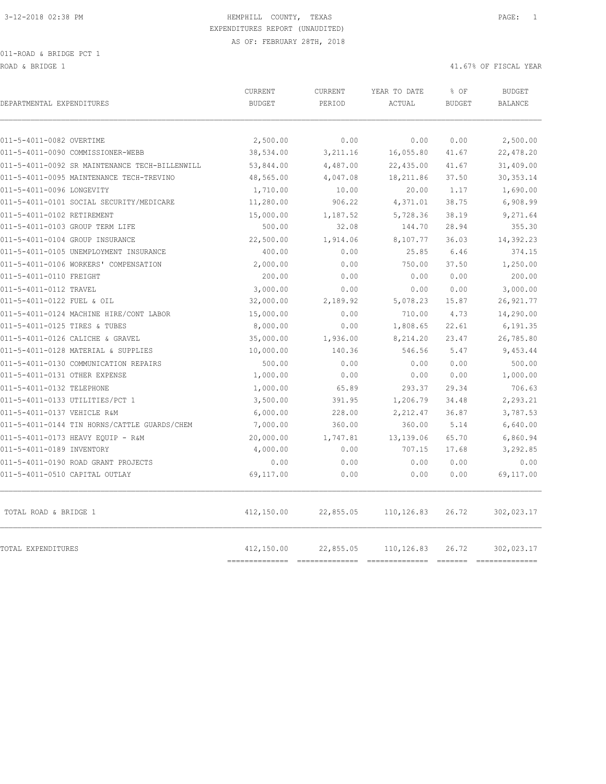ROAD & BRIDGE 1 41.67% OF FISCAL YEAR (1999) AND HERE IS A 41.67% OF FISCAL YEAR (1999) AND HERE IS A 41.67% OF FISCAL YEAR

| DEPARTMENTAL EXPENDITURES                      | <b>CURRENT</b><br><b>BUDGET</b> | CURRENT<br>PERIOD | YEAR TO DATE<br>ACTUAL | % OF<br><b>BUDGET</b> | <b>BUDGET</b><br><b>BALANCE</b> |
|------------------------------------------------|---------------------------------|-------------------|------------------------|-----------------------|---------------------------------|
| 011-5-4011-0082 OVERTIME                       | 2,500.00                        | 0.00              | 0.00                   | 0.00                  | 2,500.00                        |
| 011-5-4011-0090 COMMISSIONER-WEBB              | 38,534.00                       | 3,211.16          | 16,055.80              | 41.67                 | 22,478.20                       |
| 011-5-4011-0092 SR MAINTENANCE TECH-BILLENWILL | 53,844.00                       | 4,487.00          | 22,435.00              | 41.67                 | 31,409.00                       |
| 011-5-4011-0095 MAINTENANCE TECH-TREVINO       | 48,565.00                       | 4,047.08          | 18, 211.86             | 37.50                 | 30, 353.14                      |
| 011-5-4011-0096 LONGEVITY                      | 1,710.00                        | 10.00             | 20.00                  | 1.17                  | 1,690.00                        |
| 011-5-4011-0101 SOCIAL SECURITY/MEDICARE       | 11,280.00                       | 906.22            | 4,371.01               | 38.75                 | 6,908.99                        |
| 011-5-4011-0102 RETIREMENT                     | 15,000.00                       | 1,187.52          | 5,728.36               | 38.19                 | 9,271.64                        |
| 011-5-4011-0103 GROUP TERM LIFE                | 500.00                          | 32.08             | 144.70                 | 28.94                 | 355.30                          |
| 011-5-4011-0104 GROUP INSURANCE                | 22,500.00                       | 1,914.06          | 8,107.77               | 36.03                 | 14,392.23                       |
| 011-5-4011-0105 UNEMPLOYMENT INSURANCE         | 400.00                          | 0.00              | 25.85                  | 6.46                  | 374.15                          |
| 011-5-4011-0106 WORKERS' COMPENSATION          | 2,000.00                        | 0.00              | 750.00                 | 37.50                 | 1,250.00                        |
| 011-5-4011-0110 FREIGHT                        | 200.00                          | 0.00              | 0.00                   | 0.00                  | 200.00                          |
| 011-5-4011-0112 TRAVEL                         | 3,000.00                        | 0.00              | 0.00                   | 0.00                  | 3,000.00                        |
| 011-5-4011-0122 FUEL & OIL                     | 32,000.00                       | 2,189.92          | 5,078.23               | 15.87                 | 26, 921.77                      |
| 011-5-4011-0124 MACHINE HIRE/CONT LABOR        | 15,000.00                       | 0.00              | 710.00                 | 4.73                  | 14,290.00                       |
| 011-5-4011-0125 TIRES & TUBES                  | 8,000.00                        | 0.00              | 1,808.65               | 22.61                 | 6,191.35                        |
| 011-5-4011-0126 CALICHE & GRAVEL               | 35,000.00                       | 1,936.00          | 8,214.20               | 23.47                 | 26,785.80                       |
| 011-5-4011-0128 MATERIAL & SUPPLIES            | 10,000.00                       | 140.36            | 546.56                 | 5.47                  | 9,453.44                        |
| 011-5-4011-0130 COMMUNICATION REPAIRS          | 500.00                          | 0.00              | 0.00                   | 0.00                  | 500.00                          |
| 011-5-4011-0131 OTHER EXPENSE                  | 1,000.00                        | 0.00              | 0.00                   | 0.00                  | 1,000.00                        |
| 011-5-4011-0132 TELEPHONE                      | 1,000.00                        | 65.89             | 293.37                 | 29.34                 | 706.63                          |
| 011-5-4011-0133 UTILITIES/PCT 1                | 3,500.00                        | 391.95            | 1,206.79               | 34.48                 | 2,293.21                        |
| 011-5-4011-0137 VEHICLE R&M                    | 6,000.00                        | 228.00            | 2,212.47               | 36.87                 | 3,787.53                        |
| 011-5-4011-0144 TIN HORNS/CATTLE GUARDS/CHEM   | 7,000.00                        | 360.00            | 360.00                 | 5.14                  | 6,640.00                        |
| 011-5-4011-0173 HEAVY EQUIP - R&M              | 20,000.00                       | 1,747.81          | 13,139.06              | 65.70                 | 6,860.94                        |
| 011-5-4011-0189 INVENTORY                      | 4,000.00                        | 0.00              | 707.15                 | 17.68                 | 3,292.85                        |
| 011-5-4011-0190 ROAD GRANT PROJECTS            | 0.00                            | 0.00              | 0.00                   | 0.00                  | 0.00                            |
| 011-5-4011-0510 CAPITAL OUTLAY                 | 69,117.00                       | 0.00              | 0.00                   | 0.00                  | 69,117.00                       |
| TOTAL ROAD & BRIDGE 1                          | 412,150.00                      | 22,855.05         | 110, 126.83            | 26.72                 | 302,023.17                      |
| TOTAL EXPENDITURES                             | 412,150.00                      | 22,855.05         | 110,126.83             | 26.72                 | 302,023.17                      |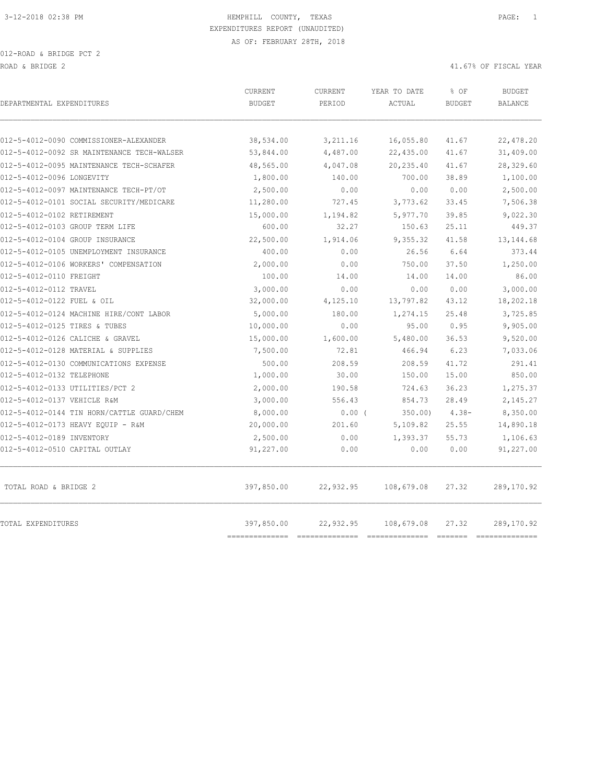| DEPARTMENTAL EXPENDITURES                  | <b>CURRENT</b><br><b>BUDGET</b> | CURRENT<br>PERIOD | YEAR TO DATE<br>ACTUAL | % OF<br><b>BUDGET</b> | <b>BUDGET</b><br><b>BALANCE</b> |
|--------------------------------------------|---------------------------------|-------------------|------------------------|-----------------------|---------------------------------|
| 012-5-4012-0090 COMMISSIONER-ALEXANDER     | 38,534.00                       | 3,211.16          | 16,055.80              | 41.67                 | 22,478.20                       |
| 012-5-4012-0092 SR MAINTENANCE TECH-WALSER | 53,844.00                       | 4,487.00          | 22,435.00              | 41.67                 | 31,409.00                       |
| 012-5-4012-0095 MAINTENANCE TECH-SCHAFER   | 48,565.00                       | 4,047.08          | 20,235.40              | 41.67                 | 28,329.60                       |
| 012-5-4012-0096 LONGEVITY                  | 1,800.00                        | 140.00            | 700.00                 | 38.89                 | 1,100.00                        |
| 012-5-4012-0097 MAINTENANCE TECH-PT/OT     | 2,500.00                        | 0.00              | 0.00                   | 0.00                  | 2,500.00                        |
| 012-5-4012-0101 SOCIAL SECURITY/MEDICARE   | 11,280.00                       | 727.45            | 3,773.62               | 33.45                 | 7,506.38                        |
| 012-5-4012-0102 RETIREMENT                 | 15,000.00                       | 1,194.82          | 5,977.70               | 39.85                 | 9,022.30                        |
| 012-5-4012-0103 GROUP TERM LIFE            | 600.00                          | 32.27             | 150.63                 | 25.11                 | 449.37                          |
| 012-5-4012-0104 GROUP INSURANCE            | 22,500.00                       | 1,914.06          | 9,355.32               | 41.58                 | 13, 144.68                      |
| 012-5-4012-0105 UNEMPLOYMENT INSURANCE     | 400.00                          | 0.00              | 26.56                  | 6.64                  | 373.44                          |
| 012-5-4012-0106 WORKERS' COMPENSATION      | 2,000.00                        | 0.00              | 750.00                 | 37.50                 | 1,250.00                        |
| 012-5-4012-0110 FREIGHT                    | 100.00                          | 14.00             | 14.00                  | 14.00                 | 86.00                           |
| 012-5-4012-0112 TRAVEL                     | 3,000.00                        | 0.00              | 0.00                   | 0.00                  | 3,000.00                        |
| 012-5-4012-0122 FUEL & OIL                 | 32,000.00                       | 4,125.10          | 13,797.82              | 43.12                 | 18,202.18                       |
| 012-5-4012-0124 MACHINE HIRE/CONT LABOR    | 5,000.00                        | 180.00            | 1,274.15               | 25.48                 | 3,725.85                        |
| 012-5-4012-0125 TIRES & TUBES              | 10,000.00                       | 0.00              | 95.00                  | 0.95                  | 9,905.00                        |
| 012-5-4012-0126 CALICHE & GRAVEL           | 15,000.00                       | 1,600.00          | 5,480.00               | 36.53                 | 9,520.00                        |
| 012-5-4012-0128 MATERIAL & SUPPLIES        | 7,500.00                        | 72.81             | 466.94                 | 6.23                  | 7,033.06                        |
| 012-5-4012-0130 COMMUNICATIONS EXPENSE     | 500.00                          | 208.59            | 208.59                 | 41.72                 | 291.41                          |
| 012-5-4012-0132 TELEPHONE                  | 1,000.00                        | 30.00             | 150.00                 | 15.00                 | 850.00                          |
| 012-5-4012-0133 UTILITIES/PCT 2            | 2,000.00                        | 190.58            | 724.63                 | 36.23                 | 1,275.37                        |
| 012-5-4012-0137 VEHICLE R&M                | 3,000.00                        | 556.43            | 854.73                 | 28.49                 | 2,145.27                        |
| 012-5-4012-0144 TIN HORN/CATTLE GUARD/CHEM | 8,000.00                        | $0.00$ (          | 350.00                 | $4.38-$               | 8,350.00                        |
| 012-5-4012-0173 HEAVY EQUIP - R&M          | 20,000.00                       | 201.60            | 5,109.82               | 25.55                 | 14,890.18                       |
| 012-5-4012-0189 INVENTORY                  | 2,500.00                        | 0.00              | 1,393.37               | 55.73                 | 1,106.63                        |
| 012-5-4012-0510 CAPITAL OUTLAY             | 91,227.00                       | 0.00              | 0.00                   | 0.00                  | 91,227.00                       |
| TOTAL ROAD & BRIDGE 2                      | 397,850.00                      | 22,932.95         | 108,679.08             | 27.32                 | 289,170.92                      |
| TOTAL EXPENDITURES                         | 397,850.00<br>------------      | 22,932.95         | 108,679.08             | 27.32                 | 289,170.92<br>==============    |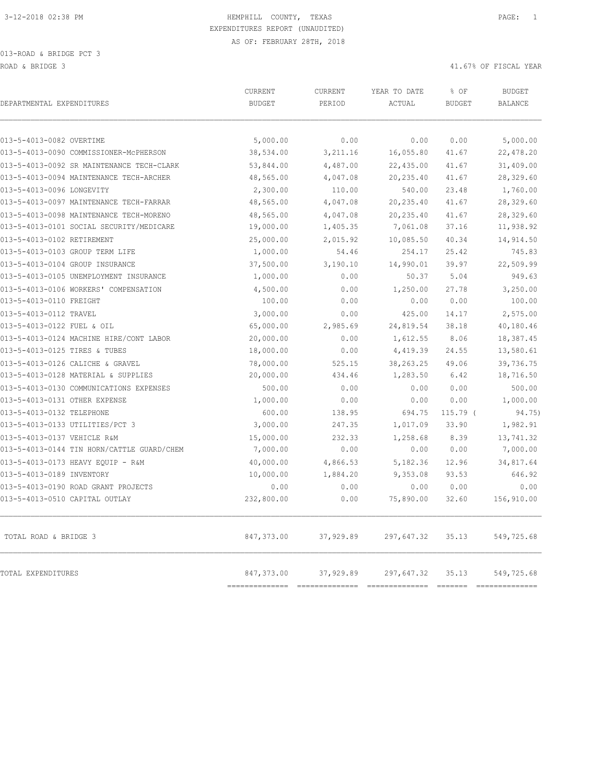| DEPARTMENTAL EXPENDITURES                  | <b>CURRENT</b><br><b>BUDGET</b> | <b>CURRENT</b><br>PERIOD | YEAR TO DATE<br>ACTUAL | % OF<br><b>BUDGET</b>                                                                                                                                                                                                                                                                                                                                                                                                                                                                           | <b>BUDGET</b><br><b>BALANCE</b> |
|--------------------------------------------|---------------------------------|--------------------------|------------------------|-------------------------------------------------------------------------------------------------------------------------------------------------------------------------------------------------------------------------------------------------------------------------------------------------------------------------------------------------------------------------------------------------------------------------------------------------------------------------------------------------|---------------------------------|
| 013-5-4013-0082 OVERTIME                   | 5,000.00                        | 0.00                     | 0.00                   | 0.00                                                                                                                                                                                                                                                                                                                                                                                                                                                                                            | 5,000.00                        |
| 013-5-4013-0090 COMMISSIONER-McPHERSON     | 38,534.00                       | 3, 211.16                | 16,055.80              | 41.67                                                                                                                                                                                                                                                                                                                                                                                                                                                                                           | 22,478.20                       |
| 013-5-4013-0092 SR MAINTENANCE TECH-CLARK  | 53,844.00                       | 4,487.00                 | 22,435.00              | 41.67                                                                                                                                                                                                                                                                                                                                                                                                                                                                                           | 31,409.00                       |
| 013-5-4013-0094 MAINTENANCE TECH-ARCHER    | 48,565.00                       | 4,047.08                 | 20,235.40              | 41.67                                                                                                                                                                                                                                                                                                                                                                                                                                                                                           | 28,329.60                       |
| 013-5-4013-0096 LONGEVITY                  | 2,300.00                        | 110.00                   | 540.00                 | 23.48                                                                                                                                                                                                                                                                                                                                                                                                                                                                                           | 1,760.00                        |
| 013-5-4013-0097 MAINTENANCE TECH-FARRAR    | 48,565.00                       | 4,047.08                 | 20,235.40              | 41.67                                                                                                                                                                                                                                                                                                                                                                                                                                                                                           | 28,329.60                       |
| 013-5-4013-0098 MAINTENANCE TECH-MORENO    | 48,565.00                       | 4,047.08                 | 20,235.40              | 41.67                                                                                                                                                                                                                                                                                                                                                                                                                                                                                           | 28,329.60                       |
| 013-5-4013-0101 SOCIAL SECURITY/MEDICARE   | 19,000.00                       | 1,405.35                 | 7,061.08               | 37.16                                                                                                                                                                                                                                                                                                                                                                                                                                                                                           | 11,938.92                       |
| 013-5-4013-0102 RETIREMENT                 | 25,000.00                       | 2,015.92                 | 10,085.50              | 40.34                                                                                                                                                                                                                                                                                                                                                                                                                                                                                           | 14,914.50                       |
| 013-5-4013-0103 GROUP TERM LIFE            | 1,000.00                        | 54.46                    | 254.17                 | 25.42                                                                                                                                                                                                                                                                                                                                                                                                                                                                                           | 745.83                          |
| 013-5-4013-0104 GROUP INSURANCE            | 37,500.00                       | 3,190.10                 | 14,990.01              | 39.97                                                                                                                                                                                                                                                                                                                                                                                                                                                                                           | 22,509.99                       |
| 013-5-4013-0105 UNEMPLOYMENT INSURANCE     | 1,000.00                        | 0.00                     | 50.37                  | 5.04                                                                                                                                                                                                                                                                                                                                                                                                                                                                                            | 949.63                          |
| 013-5-4013-0106 WORKERS' COMPENSATION      | 4,500.00                        | 0.00                     | 1,250.00               | 27.78                                                                                                                                                                                                                                                                                                                                                                                                                                                                                           | 3,250.00                        |
| 013-5-4013-0110 FREIGHT                    | 100.00                          | 0.00                     | 0.00                   | 0.00                                                                                                                                                                                                                                                                                                                                                                                                                                                                                            | 100.00                          |
| 013-5-4013-0112 TRAVEL                     | 3,000.00                        | 0.00                     | 425.00                 | 14.17                                                                                                                                                                                                                                                                                                                                                                                                                                                                                           | 2,575.00                        |
| 013-5-4013-0122 FUEL & OIL                 | 65,000.00                       | 2,985.69                 | 24,819.54              | 38.18                                                                                                                                                                                                                                                                                                                                                                                                                                                                                           | 40,180.46                       |
| 013-5-4013-0124 MACHINE HIRE/CONT LABOR    | 20,000.00                       | 0.00                     | 1,612.55               | 8.06                                                                                                                                                                                                                                                                                                                                                                                                                                                                                            | 18,387.45                       |
| 013-5-4013-0125 TIRES & TUBES              | 18,000.00                       | 0.00                     | 4,419.39               | 24.55                                                                                                                                                                                                                                                                                                                                                                                                                                                                                           | 13,580.61                       |
| 013-5-4013-0126 CALICHE & GRAVEL           | 78,000.00                       | 525.15                   | 38, 263. 25            | 49.06                                                                                                                                                                                                                                                                                                                                                                                                                                                                                           | 39,736.75                       |
| 013-5-4013-0128 MATERIAL & SUPPLIES        | 20,000.00                       | 434.46                   | 1,283.50               | 6.42                                                                                                                                                                                                                                                                                                                                                                                                                                                                                            | 18,716.50                       |
| 013-5-4013-0130 COMMUNICATIONS EXPENSES    | 500.00                          | 0.00                     | 0.00                   | 0.00                                                                                                                                                                                                                                                                                                                                                                                                                                                                                            | 500.00                          |
| 013-5-4013-0131 OTHER EXPENSE              | 1,000.00                        | 0.00                     | 0.00                   | 0.00                                                                                                                                                                                                                                                                                                                                                                                                                                                                                            | 1,000.00                        |
| 013-5-4013-0132 TELEPHONE                  | 600.00                          | 138.95                   | 694.75                 | 115.79 (                                                                                                                                                                                                                                                                                                                                                                                                                                                                                        | 94.75)                          |
| 013-5-4013-0133 UTILITIES/PCT 3            | 3,000.00                        | 247.35                   | 1,017.09               | 33.90                                                                                                                                                                                                                                                                                                                                                                                                                                                                                           | 1,982.91                        |
| 013-5-4013-0137 VEHICLE R&M                | 15,000.00                       | 232.33                   | 1,258.68               | 8.39                                                                                                                                                                                                                                                                                                                                                                                                                                                                                            | 13,741.32                       |
| 013-5-4013-0144 TIN HORN/CATTLE GUARD/CHEM | 7,000.00                        | 0.00                     | 0.00                   | 0.00                                                                                                                                                                                                                                                                                                                                                                                                                                                                                            | 7,000.00                        |
| 013-5-4013-0173 HEAVY EQUIP - R&M          | 40,000.00                       | 4,866.53                 | 5,182.36               | 12.96                                                                                                                                                                                                                                                                                                                                                                                                                                                                                           | 34,817.64                       |
| 013-5-4013-0189 INVENTORY                  | 10,000.00                       | 1,884.20                 | 9,353.08               | 93.53                                                                                                                                                                                                                                                                                                                                                                                                                                                                                           | 646.92                          |
| 013-5-4013-0190 ROAD GRANT PROJECTS        | 0.00                            | 0.00                     | 0.00                   | 0.00                                                                                                                                                                                                                                                                                                                                                                                                                                                                                            | 0.00                            |
| 013-5-4013-0510 CAPITAL OUTLAY             | 232,800.00                      | 0.00                     | 75,890.00              | 32.60                                                                                                                                                                                                                                                                                                                                                                                                                                                                                           | 156,910.00                      |
| TOTAL ROAD & BRIDGE 3                      | 847,373.00                      | 37,929.89                | 297,647.32             | 35.13                                                                                                                                                                                                                                                                                                                                                                                                                                                                                           | 549,725.68                      |
| TOTAL EXPENDITURES                         | 847,373.00                      | 37,929.89                | 297,647.32             | 35.13<br>$\begin{array}{cccccccccc} \multicolumn{2}{c}{} & \multicolumn{2}{c}{} & \multicolumn{2}{c}{} & \multicolumn{2}{c}{} & \multicolumn{2}{c}{} & \multicolumn{2}{c}{} & \multicolumn{2}{c}{} & \multicolumn{2}{c}{} & \multicolumn{2}{c}{} & \multicolumn{2}{c}{} & \multicolumn{2}{c}{} & \multicolumn{2}{c}{} & \multicolumn{2}{c}{} & \multicolumn{2}{c}{} & \multicolumn{2}{c}{} & \multicolumn{2}{c}{} & \multicolumn{2}{c}{} & \multicolumn{2}{c}{} & \multicolumn{2}{c}{} & \mult$ | 549,725.68                      |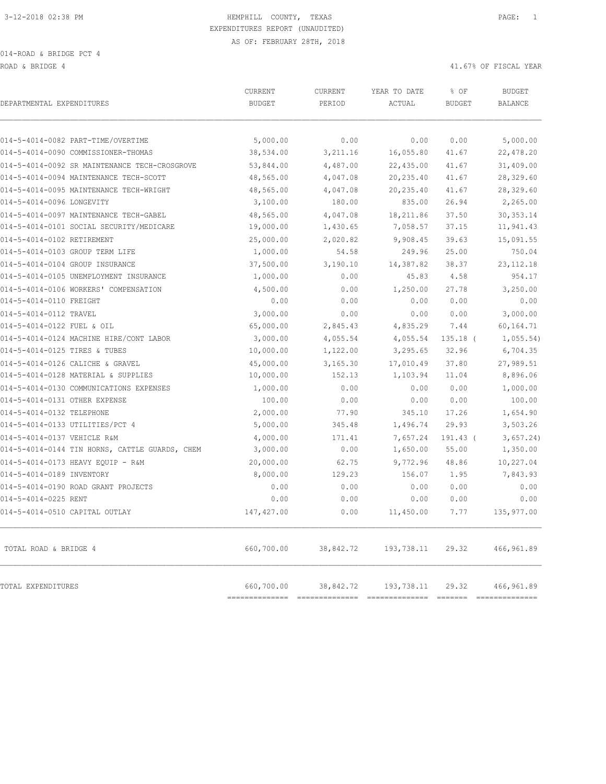ROAD & BRIDGE 4 41.67% OF FISCAL YEAR (1999) AND ROAD & ALL ASSESSED AND RESPOND TO A 41.67% OF FISCAL YEAR

| DEPARTMENTAL EXPENDITURES                      | CURRENT<br><b>BUDGET</b>     | CURRENT<br>PERIOD | YEAR TO DATE<br>ACTUAL | % OF<br><b>BUDGET</b> | <b>BUDGET</b><br><b>BALANCE</b> |
|------------------------------------------------|------------------------------|-------------------|------------------------|-----------------------|---------------------------------|
| 014-5-4014-0082 PART-TIME/OVERTIME             | 5,000.00                     | 0.00              | 0.00                   | 0.00                  | 5,000.00                        |
| 014-5-4014-0090 COMMISSIONER-THOMAS            | 38,534.00                    | 3,211.16          | 16,055.80              | 41.67                 | 22,478.20                       |
| 014-5-4014-0092 SR MAINTENANCE TECH-CROSGROVE  | 53,844.00                    | 4,487.00          | 22,435.00              | 41.67                 | 31,409.00                       |
| 014-5-4014-0094 MAINTENANCE TECH-SCOTT         | 48,565.00                    | 4,047.08          | 20, 235.40             | 41.67                 | 28,329.60                       |
| 014-5-4014-0095 MAINTENANCE TECH-WRIGHT        | 48,565.00                    | 4,047.08          | 20,235.40              | 41.67                 | 28,329.60                       |
| 014-5-4014-0096 LONGEVITY                      | 3,100.00                     | 180.00            | 835.00                 | 26.94                 | 2,265.00                        |
| 014-5-4014-0097 MAINTENANCE TECH-GABEL         | 48,565.00                    | 4,047.08          | 18,211.86              | 37.50                 | 30, 353. 14                     |
| 014-5-4014-0101 SOCIAL SECURITY/MEDICARE       | 19,000.00                    | 1,430.65          | 7,058.57               | 37.15                 | 11,941.43                       |
| 014-5-4014-0102 RETIREMENT                     | 25,000.00                    | 2,020.82          | 9,908.45               | 39.63                 | 15,091.55                       |
| 014-5-4014-0103 GROUP TERM LIFE                | 1,000.00                     | 54.58             | 249.96                 | 25.00                 | 750.04                          |
| 014-5-4014-0104 GROUP INSURANCE                | 37,500.00                    | 3,190.10          | 14,387.82              | 38.37                 | 23, 112. 18                     |
| 014-5-4014-0105 UNEMPLOYMENT INSURANCE         | 1,000.00                     | 0.00              | 45.83                  | 4.58                  | 954.17                          |
| 014-5-4014-0106 WORKERS' COMPENSATION          | 4,500.00                     | 0.00              | 1,250.00               | 27.78                 | 3,250.00                        |
| 014-5-4014-0110 FREIGHT                        | 0.00                         | 0.00              | 0.00                   | 0.00                  | 0.00                            |
| 014-5-4014-0112 TRAVEL                         | 3,000.00                     | 0.00              | 0.00                   | 0.00                  | 3,000.00                        |
| 014-5-4014-0122 FUEL & OIL                     | 65,000.00                    | 2,845.43          | 4,835.29               | 7.44                  | 60,164.71                       |
| 014-5-4014-0124 MACHINE HIRE/CONT LABOR        | 3,000.00                     | 4,055.54          | 4,055.54               | $135.18$ (            | 1,055.54)                       |
| 014-5-4014-0125 TIRES & TUBES                  | 10,000.00                    | 1,122.00          | 3,295.65               | 32.96                 | 6,704.35                        |
| 014-5-4014-0126 CALICHE & GRAVEL               | 45,000.00                    | 3,165.30          | 17,010.49              | 37.80                 | 27,989.51                       |
| 014-5-4014-0128 MATERIAL & SUPPLIES            | 10,000.00                    | 152.13            | 1,103.94               | 11.04                 | 8,896.06                        |
| 014-5-4014-0130 COMMUNICATIONS EXPENSES        | 1,000.00                     | 0.00              | 0.00                   | 0.00                  | 1,000.00                        |
| 014-5-4014-0131 OTHER EXPENSE                  | 100.00                       | 0.00              | 0.00                   | 0.00                  | 100.00                          |
| 014-5-4014-0132 TELEPHONE                      | 2,000.00                     | 77.90             | 345.10                 | 17.26                 | 1,654.90                        |
| 014-5-4014-0133 UTILITIES/PCT 4                | 5,000.00                     | 345.48            | 1,496.74               | 29.93                 | 3,503.26                        |
| 014-5-4014-0137 VEHICLE R&M                    | 4,000.00                     | 171.41            | 7,657.24               | 191.43 (              | 3,657.24)                       |
| 014-5-4014-0144 TIN HORNS, CATTLE GUARDS, CHEM | 3,000.00                     | 0.00              | 1,650.00               | 55.00                 | 1,350.00                        |
| 014-5-4014-0173 HEAVY EQUIP - R&M              | 20,000.00                    | 62.75             | 9,772.96               | 48.86                 | 10,227.04                       |
| 014-5-4014-0189 INVENTORY                      | 8,000.00                     | 129.23            | 156.07                 | 1.95                  | 7,843.93                        |
| 014-5-4014-0190 ROAD GRANT PROJECTS            | 0.00                         | 0.00              | 0.00                   | 0.00                  | 0.00                            |
| 014-5-4014-0225 RENT                           | 0.00                         | 0.00              | 0.00                   | 0.00                  | 0.00                            |
| 014-5-4014-0510 CAPITAL OUTLAY                 | 147, 427.00                  | 0.00              | 11,450.00              | 7.77                  | 135,977.00                      |
| TOTAL ROAD & BRIDGE 4                          | 660,700.00                   | 38,842.72         | 193,738.11             | 29.32                 | 466, 961.89                     |
| TOTAL EXPENDITURES                             | 660,700.00<br>============== | 38,842.72         | 193,738.11             | 29.32                 | 466,961.89<br>--------------    |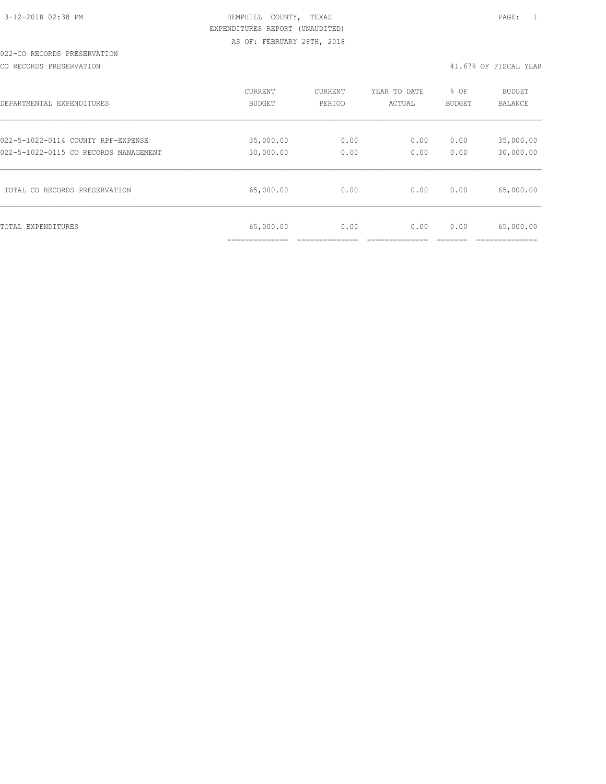#### 022-CO RECORDS PRESERVATION

CO RECORDS PRESERVATION 41.67% OF FISCAL YEAR

| DEPARTMENTAL EXPENDITURES             | CURRENT                   | CURRENT | YEAR TO DATE | % OF          | <b>BUDGET</b>  |
|---------------------------------------|---------------------------|---------|--------------|---------------|----------------|
|                                       | BUDGET                    | PERIOD  | ACTUAL       | <b>BUDGET</b> | <b>BALANCE</b> |
| 022-5-1022-0114 COUNTY RPF-EXPENSE    | 35,000.00                 | 0.00    | 0.00         | 0.00          | 35,000.00      |
| 022-5-1022-0115 CO RECORDS MANAGEMENT | 30,000.00                 | 0.00    | 0.00         | 0.00          | 30,000.00      |
| TOTAL CO RECORDS PRESERVATION         | 65,000.00                 | 0.00    | 0.00         | 0.00          | 65,000.00      |
| TOTAL EXPENDITURES                    | 65,000.00<br>____________ | 0.00    | 0.00         | 0.00          | 65,000.00      |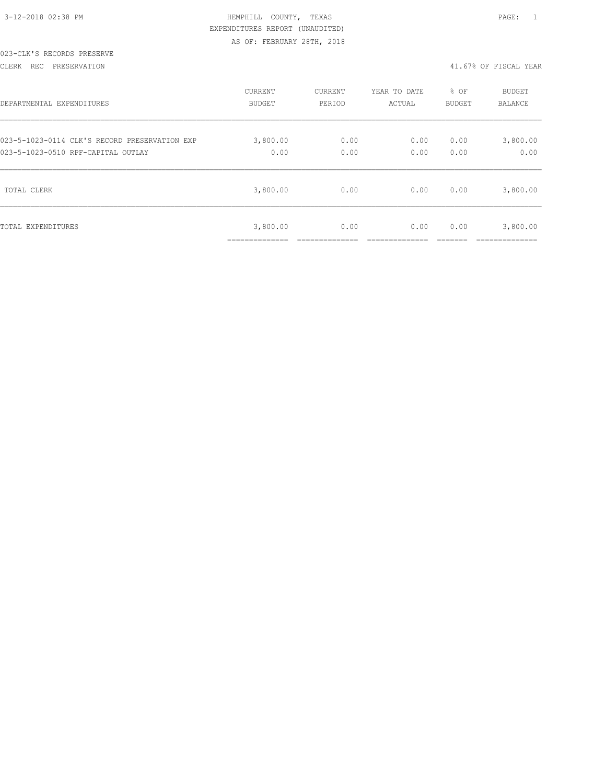| 3-12-2018 02:38 PM |  |
|--------------------|--|

#### 023-CLK'S RECORDS PRESERVE

CLERK REC PRESERVATION 41.67% OF FISCAL YEAR

| DEPARTMENTAL EXPENDITURES                     | <b>CURRENT</b>             | CURRENT | YEAR TO DATE | % OF          | <b>BUDGET</b>              |
|-----------------------------------------------|----------------------------|---------|--------------|---------------|----------------------------|
|                                               | <b>BUDGET</b>              | PERIOD  | ACTUAL       | <b>BUDGET</b> | <b>BALANCE</b>             |
| 023-5-1023-0114 CLK'S RECORD PRESERVATION EXP | 3,800.00                   | 0.00    | 0.00         | 0.00          | 3,800.00                   |
| 023-5-1023-0510 RPF-CAPITAL OUTLAY            | 0.00                       | 0.00    | 0.00         | 0.00          | 0.00                       |
| TOTAL CLERK                                   | 3,800.00                   | 0.00    | 0.00         | 0.00          | 3,800.00                   |
| TOTAL EXPENDITURES                            | 3,800.00<br>______________ | 0.00    | 0.00         | 0.00          | 3,800.00<br>-------------- |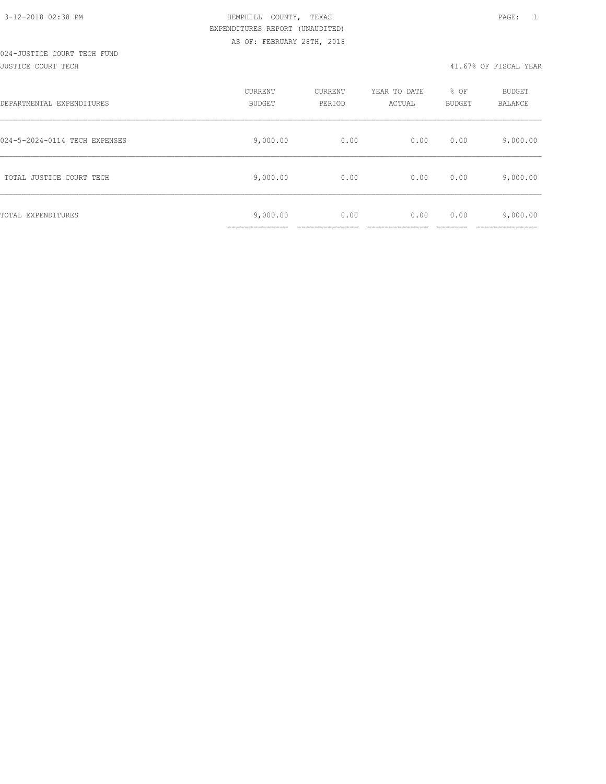#### 024-JUSTICE COURT TECH FUND JUSTICE COURT TECH 41.67% OF FISCAL YEAR

| DEPARTMENTAL EXPENDITURES     | CURRENT<br><b>BUDGET</b>                 | CURRENT<br>PERIOD | YEAR TO DATE<br>ACTUAL | % OF<br>BUDGET | <b>BUDGET</b><br>BALANCE |
|-------------------------------|------------------------------------------|-------------------|------------------------|----------------|--------------------------|
| 024-5-2024-0114 TECH EXPENSES | 9,000.00                                 | 0.00              | 0.00                   | 0.00           | 9,000.00                 |
| TOTAL JUSTICE COURT TECH      | 9,000.00                                 | 0.00              | 0.00                   | 0.00           | 9,000.00                 |
| TOTAL EXPENDITURES            | 9,000.00<br>-----------<br>------------- | 0.00              | 0.00                   | 0.00           | 9,000.00<br>__________   |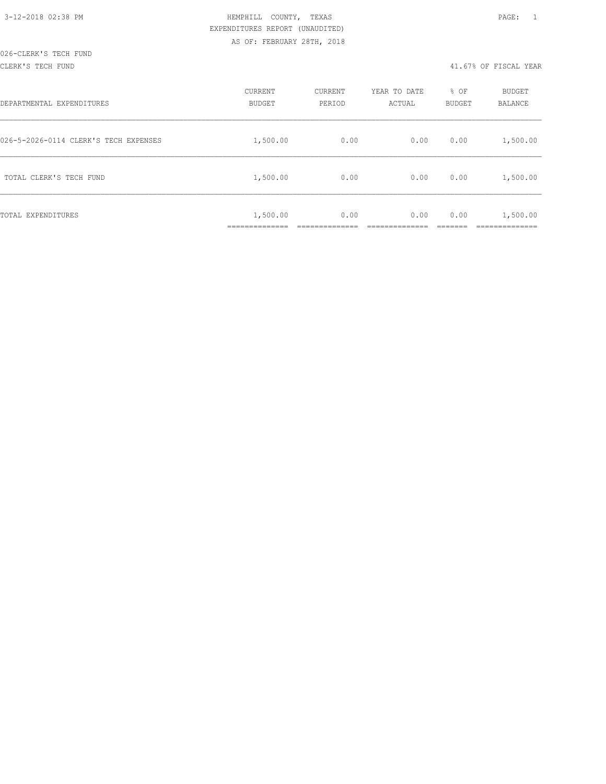#### CLERK'S TECH FUND 41.67% OF FISCAL YEAR

| DEPARTMENTAL EXPENDITURES             | CURRENT<br><b>BUDGET</b> | CURRENT<br>PERIOD | YEAR TO DATE<br>ACTUAL | % OF<br>BUDGET | BUDGET<br>BALANCE      |
|---------------------------------------|--------------------------|-------------------|------------------------|----------------|------------------------|
| 026-5-2026-0114 CLERK'S TECH EXPENSES | 1,500.00                 | 0.00              | 0.00                   | 0.00           | 1,500.00               |
| TOTAL CLERK'S TECH FUND               | 1,500.00                 | 0.00              | 0.00                   | 0.00           | 1,500.00               |
| TOTAL EXPENDITURES                    | 1,500.00<br>.            | 0.00              | 0.00                   | 0.00           | 1,500.00<br>__________ |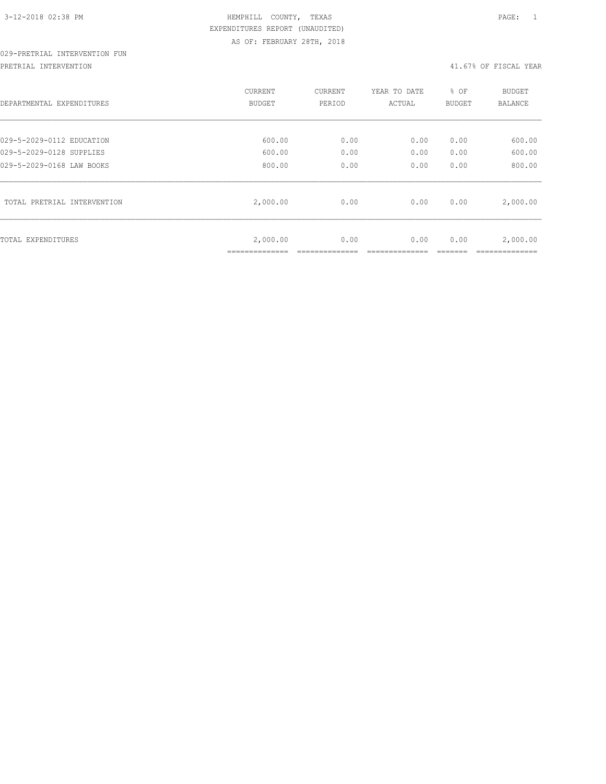# 029-PRETRIAL INTERVENTION FUN

PRETRIAL INTERVENTION 41.67% OF FISCAL YEAR

| DEPARTMENTAL EXPENDITURES   | <b>CURRENT</b><br><b>BUDGET</b> | CURRENT<br>PERIOD | YEAR TO DATE<br>ACTUAL | % OF<br><b>BUDGET</b> | BUDGET<br><b>BALANCE</b> |
|-----------------------------|---------------------------------|-------------------|------------------------|-----------------------|--------------------------|
| 029-5-2029-0112 EDUCATION   | 600.00                          | 0.00              | 0.00                   | 0.00                  | 600.00                   |
| 029-5-2029-0128 SUPPLIES    | 600.00                          | 0.00              | 0.00                   | 0.00                  | 600.00                   |
| 029-5-2029-0168 LAW BOOKS   | 800.00                          | 0.00              | 0.00                   | 0.00                  | 800.00                   |
| TOTAL PRETRIAL INTERVENTION | 2,000.00                        | 0.00              | 0.00                   | 0.00                  | 2,000.00                 |
| TOTAL EXPENDITURES          | 2,000.00<br>_____________       | 0.00              | 0.00                   | 0.00                  | 2,000.00<br>___________  |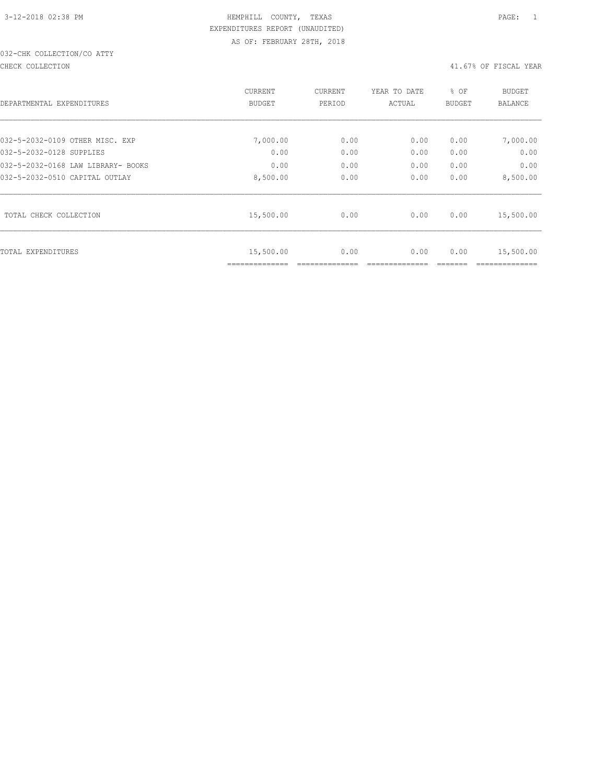# 032-CHK COLLECTION/CO ATTY

#### CHECK COLLECTION 41.67% OF FISCAL YEAR

|                                    | <b>CURRENT</b>              | <b>CURRENT</b>                                                                                                                                                                                                            | YEAR TO DATE | % OF | <b>BUDGET</b> |
|------------------------------------|-----------------------------|---------------------------------------------------------------------------------------------------------------------------------------------------------------------------------------------------------------------------|--------------|------|---------------|
| DEPARTMENTAL EXPENDITURES          | <b>BUDGET</b>               | PERIOD<br>ACTUAL<br><b>BUDGET</b><br>7,000.00<br>0.00<br>0.00<br>0.00<br>0.00<br>0.00<br>0.00<br>0.00<br>0.00<br>0.00<br>0.00<br>0.00<br>8,500.00<br>0.00<br>0.00<br>0.00<br>0.00<br>0.00<br>0.00<br>0.00<br>0.00<br>0.00 | BALANCE      |      |               |
|                                    |                             |                                                                                                                                                                                                                           |              |      |               |
| 032-5-2032-0109 OTHER MISC. EXP    |                             |                                                                                                                                                                                                                           |              |      | 7,000.00      |
| 032-5-2032-0128 SUPPLIES           |                             |                                                                                                                                                                                                                           |              |      | 0.00          |
| 032-5-2032-0168 LAW LIBRARY- BOOKS |                             |                                                                                                                                                                                                                           |              |      | 0.00          |
| 032-5-2032-0510 CAPITAL OUTLAY     |                             |                                                                                                                                                                                                                           |              |      | 8,500.00      |
| TOTAL CHECK COLLECTION             | 15,500.00                   |                                                                                                                                                                                                                           |              |      | 15,500.00     |
| TOTAL EXPENDITURES                 | 15,500.00<br>============== |                                                                                                                                                                                                                           |              |      | 15,500.00     |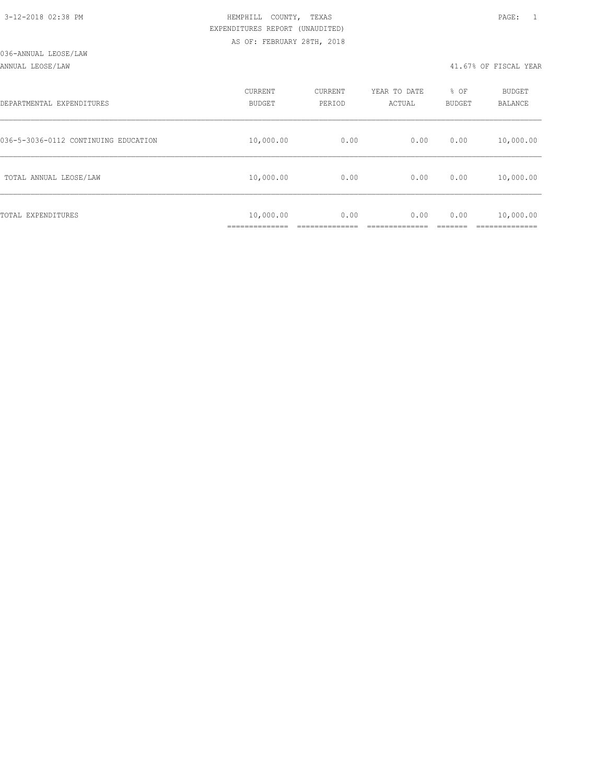#### ANNUAL LEOSE/LAW 41.67% OF FISCAL YEAR

| DEPARTMENTAL EXPENDITURES            | CURRENT<br><b>BUDGET</b>                   | CURRENT<br>PERIOD | YEAR TO DATE<br>ACTUAL | % OF<br>BUDGET | <b>BUDGET</b><br>BALANCE |
|--------------------------------------|--------------------------------------------|-------------------|------------------------|----------------|--------------------------|
| 036-5-3036-0112 CONTINUING EDUCATION | 10,000.00                                  | 0.00              | 0.00                   | 0.00           | 10,000.00                |
| TOTAL ANNUAL LEOSE/LAW               | 10,000.00                                  | 0.00              | 0.00                   | 0.00           | 10,000.00                |
| TOTAL EXPENDITURES                   | 10,000.00<br>. _ _ _ _ _ _ _ _ _ _ _ _ _ _ | 0.00              | 0.00                   | 0.00           | 10,000.00                |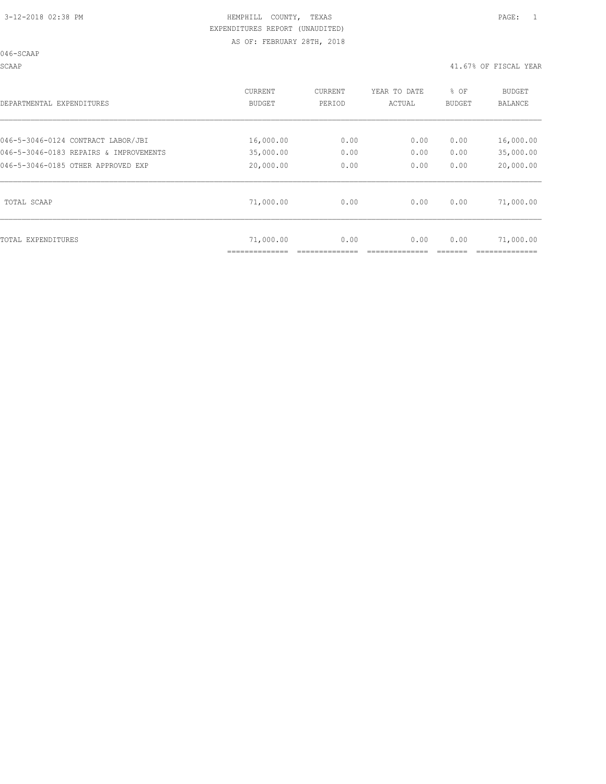046-SCAAP

SCAAP 41.67% OF FISCAL YEAR

| DEPARTMENTAL EXPENDITURES              | <b>CURRENT</b><br><b>BUDGET</b> | CURRENT<br>PERIOD | YEAR TO DATE<br>ACTUAL | % OF<br><b>BUDGET</b> | BUDGET<br><b>BALANCE</b> |
|----------------------------------------|---------------------------------|-------------------|------------------------|-----------------------|--------------------------|
| 046-5-3046-0124 CONTRACT LABOR/JBI     | 16,000.00                       | 0.00              | 0.00                   | 0.00                  | 16,000.00                |
| 046-5-3046-0183 REPAIRS & IMPROVEMENTS | 35,000.00                       | 0.00              | 0.00                   | 0.00                  | 35,000.00                |
| 046-5-3046-0185 OTHER APPROVED EXP     | 20,000.00                       | 0.00              | 0.00                   | 0.00                  | 20,000.00                |
| TOTAL SCAAP                            | 71,000.00                       | 0.00              | 0.00                   | 0.00                  | 71,000.00                |
| TOTAL EXPENDITURES                     | 71,000.00                       | 0.00              | 0.00                   | 0.00                  | 71,000.00                |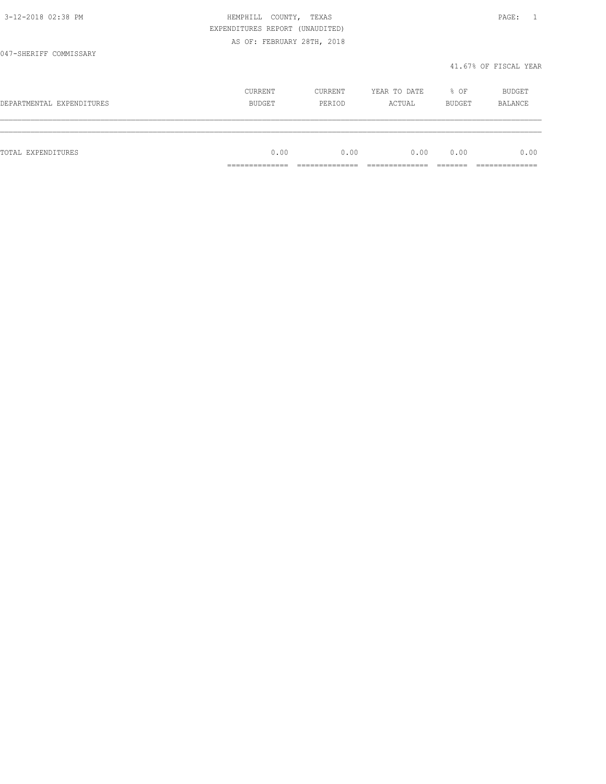|                           | EXPENDITURES REPORT (UNAUDITED) |         |              |        |                       |
|---------------------------|---------------------------------|---------|--------------|--------|-----------------------|
|                           | AS OF: FEBRUARY 28TH, 2018      |         |              |        |                       |
| 047-SHERIFF COMMISSARY    |                                 |         |              |        |                       |
|                           |                                 |         |              |        | 41.67% OF FISCAL YEAR |
|                           |                                 |         |              |        |                       |
|                           | CURRENT                         | CURRENT | YEAR TO DATE | % OF   | BUDGET                |
| DEPARTMENTAL EXPENDITURES | BUDGET                          | PERIOD  | ACTUAL       | BUDGET | BALANCE               |
|                           |                                 |         |              |        |                       |
|                           |                                 |         |              |        |                       |
| TOTAL EXPENDITURES        | 0.00                            | 0.00    | 0.00         | 0.00   | 0.00                  |
|                           | ==============                  |         |              |        |                       |

3-12-2018 02:38 PM HEMPHILL COUNTY, TEXAS PAGE: 1